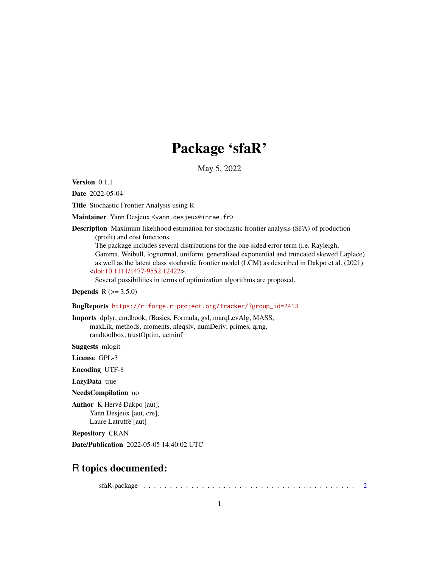# Package 'sfaR'

May 5, 2022

<span id="page-0-0"></span>Version 0.1.1

Date 2022-05-04

Title Stochastic Frontier Analysis using R

Maintainer Yann Desjeux <yann.desjeux@inrae.fr>

Description Maximum likelihood estimation for stochastic frontier analysis (SFA) of production (profit) and cost functions.

The package includes several distributions for the one-sided error term (i.e. Rayleigh, Gamma, Weibull, lognormal, uniform, generalized exponential and truncated skewed Laplace) as well as the latent class stochastic frontier model (LCM) as described in Dakpo et al. (2021) [<doi:10.1111/1477-9552.12422>](https://doi.org/10.1111/1477-9552.12422).

Several possibilities in terms of optimization algorithms are proposed.

**Depends**  $R (= 3.5.0)$ 

### BugReports [https://r-forge.r-project.org/tracker/?group\\_id=2413](https://r-forge.r-project.org/tracker/?group_id=2413)

Imports dplyr, emdbook, fBasics, Formula, gsl, marqLevAlg, MASS, maxLik, methods, moments, nleqslv, numDeriv, primes, qrng, randtoolbox, trustOptim, ucminf

Suggests mlogit

License GPL-3

Encoding UTF-8

LazyData true

NeedsCompilation no

Author K Hervé Dakpo [aut], Yann Desjeux [aut, cre], Laure Latruffe [aut]

Repository CRAN

Date/Publication 2022-05-05 14:40:02 UTC

## R topics documented:

sfaR-package . . . . . . . . . . . . . . . . . . . . . . . . . . . . . . . . . . . . . . . . [2](#page-1-0)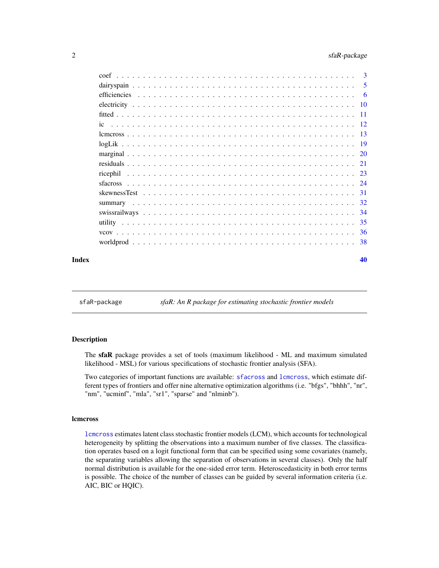<span id="page-1-0"></span>

|       | coef |  |  |  |  |  |  |  |  |  |  |  |  |  |  |  |  |    |
|-------|------|--|--|--|--|--|--|--|--|--|--|--|--|--|--|--|--|----|
|       |      |  |  |  |  |  |  |  |  |  |  |  |  |  |  |  |  |    |
|       |      |  |  |  |  |  |  |  |  |  |  |  |  |  |  |  |  |    |
|       |      |  |  |  |  |  |  |  |  |  |  |  |  |  |  |  |  |    |
|       |      |  |  |  |  |  |  |  |  |  |  |  |  |  |  |  |  |    |
|       |      |  |  |  |  |  |  |  |  |  |  |  |  |  |  |  |  |    |
|       |      |  |  |  |  |  |  |  |  |  |  |  |  |  |  |  |  |    |
|       |      |  |  |  |  |  |  |  |  |  |  |  |  |  |  |  |  |    |
|       |      |  |  |  |  |  |  |  |  |  |  |  |  |  |  |  |  |    |
|       |      |  |  |  |  |  |  |  |  |  |  |  |  |  |  |  |  |    |
|       |      |  |  |  |  |  |  |  |  |  |  |  |  |  |  |  |  |    |
|       |      |  |  |  |  |  |  |  |  |  |  |  |  |  |  |  |  |    |
|       |      |  |  |  |  |  |  |  |  |  |  |  |  |  |  |  |  |    |
|       |      |  |  |  |  |  |  |  |  |  |  |  |  |  |  |  |  |    |
|       |      |  |  |  |  |  |  |  |  |  |  |  |  |  |  |  |  |    |
|       |      |  |  |  |  |  |  |  |  |  |  |  |  |  |  |  |  |    |
|       |      |  |  |  |  |  |  |  |  |  |  |  |  |  |  |  |  |    |
|       |      |  |  |  |  |  |  |  |  |  |  |  |  |  |  |  |  |    |
| Index |      |  |  |  |  |  |  |  |  |  |  |  |  |  |  |  |  | 40 |

sfaR-package *sfaR: An R package for estimating stochastic frontier models*

## Description

The sfaR package provides a set of tools (maximum likelihood - ML and maximum simulated likelihood - MSL) for various specifications of stochastic frontier analysis (SFA).

Two categories of important functions are available: [sfacross](#page-23-1) and [lcmcross](#page-12-1), which estimate different types of frontiers and offer nine alternative optimization algorithms (i.e. "bfgs", "bhhh", "nr", "nm", "ucminf", "mla", "sr1", "sparse" and "nlminb").

#### lcmcross

[lcmcross](#page-12-1) estimates latent class stochastic frontier models (LCM), which accounts for technological heterogeneity by splitting the observations into a maximum number of five classes. The classification operates based on a logit functional form that can be specified using some covariates (namely, the separating variables allowing the separation of observations in several classes). Only the half normal distribution is available for the one-sided error term. Heteroscedasticity in both error terms is possible. The choice of the number of classes can be guided by several information criteria (i.e. AIC, BIC or HQIC).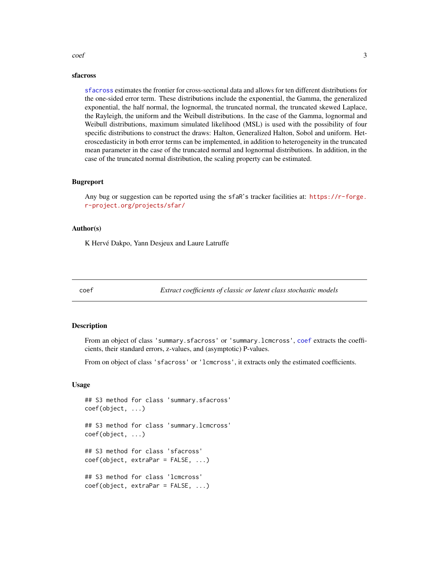#### <span id="page-2-0"></span> $\text{coeff}$  3

#### sfacross

[sfacross](#page-23-1) estimates the frontier for cross-sectional data and allows for ten different distributions for the one-sided error term. These distributions include the exponential, the Gamma, the generalized exponential, the half normal, the lognormal, the truncated normal, the truncated skewed Laplace, the Rayleigh, the uniform and the Weibull distributions. In the case of the Gamma, lognormal and Weibull distributions, maximum simulated likelihood (MSL) is used with the possibility of four specific distributions to construct the draws: Halton, Generalized Halton, Sobol and uniform. Heteroscedasticity in both error terms can be implemented, in addition to heterogeneity in the truncated mean parameter in the case of the truncated normal and lognormal distributions. In addition, in the case of the truncated normal distribution, the scaling property can be estimated.

#### Bugreport

Any bug or suggestion can be reported using the sfaR's tracker facilities at: [https://r-forge.](https://r-forge.r-project.org/projects/sfar/) [r-project.org/projects/sfar/](https://r-forge.r-project.org/projects/sfar/)

## Author(s)

K Hervé Dakpo, Yann Desjeux and Laure Latruffe

<span id="page-2-1"></span>

coef *Extract coefficients of classic or latent class stochastic models*

#### <span id="page-2-2"></span>Description

From an object of class 'summary.sfacross' or 'summary.lcmcross', [coef](#page-2-1) extracts the coefficients, their standard errors, z-values, and (asymptotic) P-values.

From on object of class 'sfacross' or 'lcmcross', it extracts only the estimated coefficients.

## Usage

## S3 method for class 'summary.sfacross' coef(object, ...) ## S3 method for class 'summary.lcmcross' coef(object, ...) ## S3 method for class 'sfacross' coef(object, extraPar = FALSE, ...) ## S3 method for class 'lcmcross' coef(object, extraPar = FALSE, ...)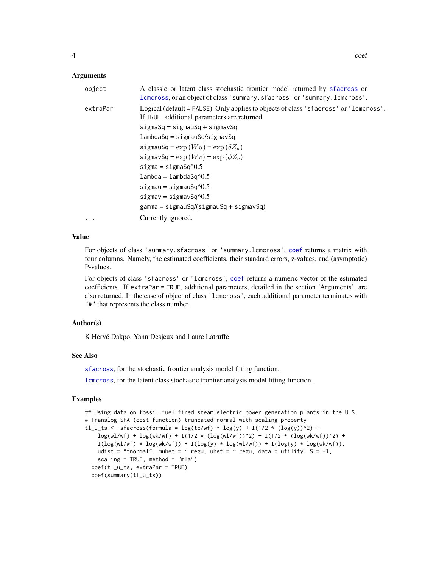<span id="page-3-0"></span>

| object   | A classic or latent class stochastic frontier model returned by sfacross or<br>lcmcross, or an object of class 'summary. sfacross' or 'summary. lcmcross'. |
|----------|------------------------------------------------------------------------------------------------------------------------------------------------------------|
| extraPar | Logical (default = FALSE). Only applies to objects of class 'sfacross' or '1 cm cross'.<br>If TRUE, additional parameters are returned:                    |
|          | $signaSq = signauSq + sigmaxSq$                                                                                                                            |
|          | $lambda Sq = sigmausq/sigmavSq$                                                                                                                            |
|          | sigmauSq = $\exp(Wu)$ = $\exp(\delta Z_u)$                                                                                                                 |
|          | sigmavSq = $\exp(Wv)$ = $\exp(\phi Z_v)$                                                                                                                   |
|          | $sigma = sigmaSq^0.5$                                                                                                                                      |
|          | $lambda =$ lambda $Sq^0.5$                                                                                                                                 |
|          | sigmau = sigmauSq $\textdegree$ 0.5                                                                                                                        |
|          | $signav = sigmaxSq^{0.5}$                                                                                                                                  |
|          | $gamma = sigmauSq/(sigmauSq + sigmavSq)$                                                                                                                   |
| $\cdots$ | Currently ignored.                                                                                                                                         |

#### Value

For objects of class 'summary.sfacross' or 'summary.lcmcross', [coef](#page-2-1) returns a matrix with four columns. Namely, the estimated coefficients, their standard errors, z-values, and (asymptotic) P-values.

For objects of class 'sfacross' or 'lcmcross', [coef](#page-2-1) returns a numeric vector of the estimated coefficients. If extraPar = TRUE, additional parameters, detailed in the section 'Arguments', are also returned. In the case of object of class 'lcmcross', each additional parameter terminates with "#" that represents the class number.

#### Author(s)

K Hervé Dakpo, Yann Desjeux and Laure Latruffe

## See Also

[sfacross](#page-23-1), for the stochastic frontier analysis model fitting function.

[lcmcross](#page-12-1), for the latent class stochastic frontier analysis model fitting function.

## Examples

```
## Using data on fossil fuel fired steam electric power generation plants in the U.S.
# Translog SFA (cost function) truncated normal with scaling property
tl_u_ts <- sfacross(formula = \log(tc/wf) \sim \log(y) + I(1/2 \times (\log(y))^2) +
    \log(w1/wf) + \log(wk/wf) + I(1/2 * (\log(w1/wf))^2) + I(1/2 * (\log(wk/wf))^2) +
   I(log(wl/wf) * log(wk/wf)) + I(log(y) * log(wl/wf)) + I(log(y) * log(wk/wf)),udist = "tnormal", muhet = \sim regu, uhet = \sim regu, data = utility, S = -1,
    scaling = TRUE, method = "mla")
 coef(tl_u_ts, extraPar = TRUE)
 coef(summary(tl_u_ts))
```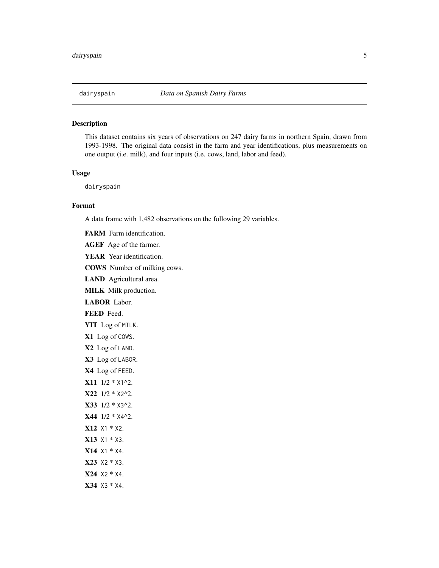<span id="page-4-0"></span>

## Description

This dataset contains six years of observations on 247 dairy farms in northern Spain, drawn from 1993-1998. The original data consist in the farm and year identifications, plus measurements on one output (i.e. milk), and four inputs (i.e. cows, land, labor and feed).

### Usage

dairyspain

## Format

A data frame with 1,482 observations on the following 29 variables.

FARM Farm identification.

AGEF Age of the farmer.

YEAR Year identification.

COWS Number of milking cows.

LAND Agricultural area.

MILK Milk production.

LABOR Labor.

FEED Feed.

- YIT Log of MILK.
- X1 Log of COWS.
- X2 Log of LAND.
- X3 Log of LABOR.
- X4 Log of FEED.
- X11 1/2 \* X1^2.
- X22 1/2 \* X2^2.
- X33 1/2 \* X3^2.
- X44 1/2 \* X4^2.
- X12 X1 \* X2.
- X13 X1 \* X3.
- X14 X1 \* X4.
- X23 X2 \* X3.
- X24 X2 \* X4.
- 

X34 X3 \* X4.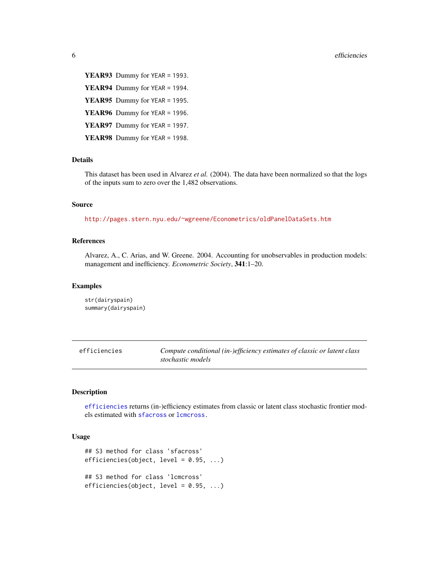<span id="page-5-0"></span>YEAR93 Dummy for YEAR = 1993. YEAR94 Dummy for YEAR = 1994. YEAR95 Dummy for YEAR = 1995. YEAR96 Dummy for YEAR = 1996. YEAR97 Dummy for YEAR = 1997. YEAR98 Dummy for YEAR = 1998.

## **Details**

This dataset has been used in Alvarez *et al.* (2004). The data have been normalized so that the logs of the inputs sum to zero over the 1,482 observations.

## Source

<http://pages.stern.nyu.edu/~wgreene/Econometrics/oldPanelDataSets.htm>

## References

Alvarez, A., C. Arias, and W. Greene. 2004. Accounting for unobservables in production models: management and inefficiency. *Econometric Society*, 341:1–20.

#### Examples

str(dairyspain) summary(dairyspain)

<span id="page-5-1"></span>efficiencies *Compute conditional (in-)efficiency estimates of classic or latent class stochastic models*

#### <span id="page-5-2"></span>Description

[efficiencies](#page-5-1) returns (in-)efficiency estimates from classic or latent class stochastic frontier models estimated with [sfacross](#page-23-1) or [lcmcross.](#page-12-1)

#### Usage

```
## S3 method for class 'sfacross'
efficiencies(object, level = 0.95, ...)
## S3 method for class 'lcmcross'
efficiencies(object, level = 0.95, ...)
```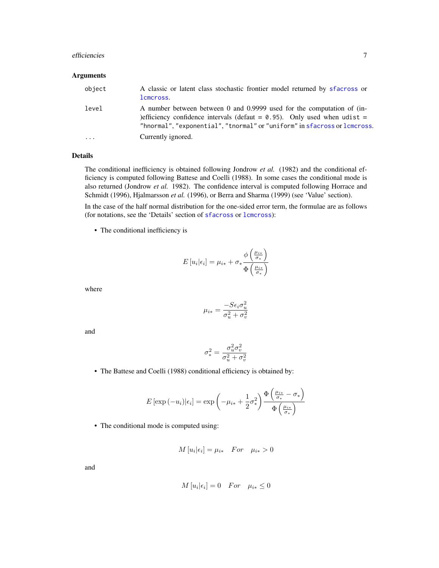#### <span id="page-6-0"></span>efficiencies **7**

#### Arguments

| object   | A classic or latent class stochastic frontier model returned by sfacross or<br>lcmcross.                                                                                                                                           |
|----------|------------------------------------------------------------------------------------------------------------------------------------------------------------------------------------------------------------------------------------|
| level    | A number between between 0 and 0.9999 used for the computation of (in-<br>)efficiency confidence intervals (defaut = $0.95$ ). Only used when udist =<br>"hnormal", "exponential", "tnormal" or "uniform" in sfacross or lemeross. |
| $\cdots$ | Currently ignored.                                                                                                                                                                                                                 |

## Details

The conditional inefficiency is obtained following Jondrow *et al.* (1982) and the conditional efficiency is computed following Battese and Coelli (1988). In some cases the conditional mode is also returned (Jondrow *et al.* 1982). The confidence interval is computed following Horrace and Schmidt (1996), Hjalmarsson *et al.* (1996), or Berra and Sharma (1999) (see 'Value' section).

In the case of the half normal distribution for the one-sided error term, the formulae are as follows (for notations, see the 'Details' section of [sfacross](#page-23-1) or [lcmcross](#page-12-1)):

• The conditional inefficiency is

$$
E[u_i|\epsilon_i] = \mu_{i*} + \sigma_* \frac{\phi\left(\frac{\mu_{i*}}{\sigma_*}\right)}{\Phi\left(\frac{\mu_{i*}}{\sigma_*}\right)}
$$

 $\lambda$ 

where

$$
\mu_{i*} = \frac{-S\epsilon_i \sigma_u^2}{\sigma_u^2 + \sigma_v^2}
$$

and

$$
\sigma_*^2 = \frac{\sigma_u^2 \sigma_v^2}{\sigma_u^2 + \sigma_v^2}
$$

• The Battese and Coelli (1988) conditional efficiency is obtained by:

$$
E\left[\exp\left(-u_i\right)\middle|\epsilon_i\right] = \exp\left(-\mu_{i*} + \frac{1}{2}\sigma_*^2\right) \frac{\Phi\left(\frac{\mu_{i*}}{\sigma_*} - \sigma_*\right)}{\Phi\left(\frac{\mu_{i*}}{\sigma_*}\right)}
$$

• The conditional mode is computed using:

$$
M[u_i|\epsilon_i] = \mu_{i*} \quad For \quad \mu_{i*} > 0
$$

and

$$
M[u_i|\epsilon_i] = 0 \quad For \quad \mu_{i*} \le 0
$$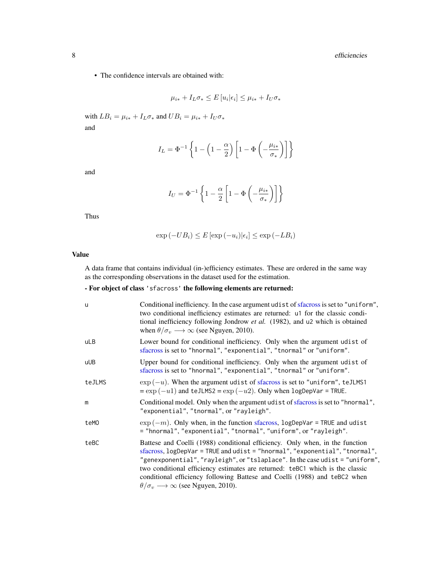• The confidence intervals are obtained with:

$$
\mu_{i*} + I_L \sigma_* \le E[u_i|\epsilon_i] \le \mu_{i*} + I_U \sigma_*
$$

with  $LB_i = \mu_{i*} + I_L \sigma_*$  and  $UB_i = \mu_{i*} + I_U \sigma_*$ and

$$
I_L = \Phi^{-1}\left\{1-\left(1-\frac{\alpha}{2}\right)\left[1-\Phi\left(-\frac{\mu_{i*}}{\sigma_*}\right)\right]\right\}
$$

and

$$
I_U = \Phi^{-1}\left\{1 - \frac{\alpha}{2}\left[1 - \Phi\left(-\frac{\mu_{i*}}{\sigma_*}\right)\right]\right\}
$$

Thus

$$
\exp(-UB_i) \le E[\exp(-u_i)|\epsilon_i] \le \exp(-LB_i)
$$

## Value

A data frame that contains individual (in-)efficiency estimates. These are ordered in the same way as the corresponding observations in the dataset used for the estimation.

## - For object of class 'sfacross' the following elements are returned:

| u      | Conditional inefficiency. In the case argument udist of sfacross is set to "uniform",<br>two conditional inefficiency estimates are returned: u1 for the classic condi-<br>tional inefficiency following Jondrow et al. (1982), and u2 which is obtained<br>when $\theta/\sigma_v \longrightarrow \infty$ (see Nguyen, 2010).                                                                                                                                             |
|--------|---------------------------------------------------------------------------------------------------------------------------------------------------------------------------------------------------------------------------------------------------------------------------------------------------------------------------------------------------------------------------------------------------------------------------------------------------------------------------|
| uLB    | Lower bound for conditional inefficiency. Only when the argument udist of<br>sfacross is set to "hnormal", "exponential", "tnormal" or "uniform".                                                                                                                                                                                                                                                                                                                         |
| uUB    | Upper bound for conditional inefficiency. Only when the argument udist of<br>sfacross is set to "hnormal", "exponential", "tnormal" or "uniform".                                                                                                                                                                                                                                                                                                                         |
| teJLMS | $\exp(-u)$ . When the argument udist of sfacross is set to "uniform", teJLMS1<br>$=\exp(-u1)$ and teJLMS2 = $\exp(-u2)$ . Only when logDepVar = TRUE.                                                                                                                                                                                                                                                                                                                     |
| m      | Conditional model. Only when the argument udist of sfacross is set to "hnormal",<br>"exponential", "tnormal", or "rayleigh".                                                                                                                                                                                                                                                                                                                                              |
| teM0   | $\exp(-m)$ . Only when, in the function sfacross, logDepVar = TRUE and udist<br>= "hnormal", "exponential", "tnormal", "uniform", or "rayleigh".                                                                                                                                                                                                                                                                                                                          |
| teBC   | Battese and Coelli (1988) conditional efficiency. Only when, in the function<br>sfacross, logDepVar = TRUE and udist = "hnormal", "exponential", "tnormal",<br>"genexponential", "rayleigh", or "tslaplace". In the case udist = "uniform",<br>two conditional efficiency estimates are returned: teBC1 which is the classic<br>conditional efficiency following Battese and Coelli (1988) and teBC2 when<br>$\theta/\sigma_v \longrightarrow \infty$ (see Nguyen, 2010). |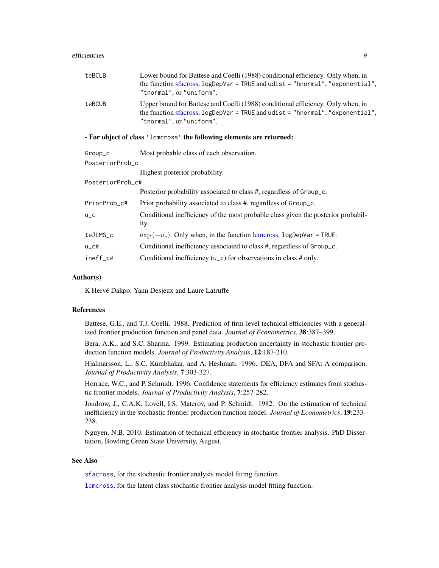<span id="page-8-0"></span>

| teBCLB                                                               | Lower bound for Battese and Coelli (1988) conditional efficiency. Only when, in<br>the function sfacross, $logDepVar = TRUE$ and $udist = "hnormal", "exponential",$<br>"tnormal", or "uniform". |  |  |  |  |
|----------------------------------------------------------------------|--------------------------------------------------------------------------------------------------------------------------------------------------------------------------------------------------|--|--|--|--|
| teBCUB                                                               | Upper bound for Battese and Coelli (1988) conditional efficiency. Only when, in<br>the function sfacross, $logDepVar = TRUE$ and $udist = "hnormal", "exponential",$<br>"tnormal", or "uniform". |  |  |  |  |
| - For object of class 'lements' the following elements are returned: |                                                                                                                                                                                                  |  |  |  |  |
| Group_c                                                              | Most probable class of each observation.                                                                                                                                                         |  |  |  |  |
| PosteriorProb_c                                                      |                                                                                                                                                                                                  |  |  |  |  |
|                                                                      | Highest posterior probability.                                                                                                                                                                   |  |  |  |  |
| PosteriorProb_c#                                                     |                                                                                                                                                                                                  |  |  |  |  |
|                                                                      | Posterior probability associated to class #, regardless of Group_c.                                                                                                                              |  |  |  |  |
| PriorProb_c#                                                         | Prior probability associated to class #, regardless of Group_c.                                                                                                                                  |  |  |  |  |
| $U_C$                                                                | Conditional inefficiency of the most probable class given the posterior probabil-<br>ity.                                                                                                        |  |  |  |  |
|                                                                      |                                                                                                                                                                                                  |  |  |  |  |

| teJLMS_c | $\exp(-u_c)$ . Only when, in the function lemeross, logDepVar = TRUE. |
|----------|-----------------------------------------------------------------------|
|----------|-----------------------------------------------------------------------|

| Conditional inefficiency associated to class #, regardless of Group_c.<br>u_c# |  |
|--------------------------------------------------------------------------------|--|
|--------------------------------------------------------------------------------|--|

ineff\_c# Conditional inefficiency (u\_c) for observations in class # only.

#### Author(s)

K Hervé Dakpo, Yann Desjeux and Laure Latruffe

#### References

Battese, G.E., and T.J. Coelli. 1988. Prediction of firm-level technical efficiencies with a generalized frontier production function and panel data. *Journal of Econometrics*, 38:387–399.

Bera, A.K., and S.C. Sharma. 1999. Estimating production uncertainty in stochastic frontier production function models. *Journal of Productivity Analysis*, 12:187-210.

Hjalmarsson, L., S.C. Kumbhakar, and A. Heshmati. 1996. DEA, DFA and SFA: A comparison. *Journal of Productivity Analysis*, 7:303-327.

Horrace, W.C., and P. Schmidt. 1996. Confidence statements for efficiency estimates from stochastic frontier models. *Journal of Productivity Analysis*, 7:257-282.

Jondrow, J., C.A.K. Lovell, I.S. Materov, and P. Schmidt. 1982. On the estimation of technical inefficiency in the stochastic frontier production function model. *Journal of Econometrics*, 19:233– 238.

Nguyen, N.B. 2010. Estimation of technical efficiency in stochastic frontier analysis. PhD Dissertation, Bowling Green State University, August.

## See Also

[sfacross](#page-23-1), for the stochastic frontier analysis model fitting function.

[lcmcross](#page-12-1), for the latent class stochastic frontier analysis model fitting function.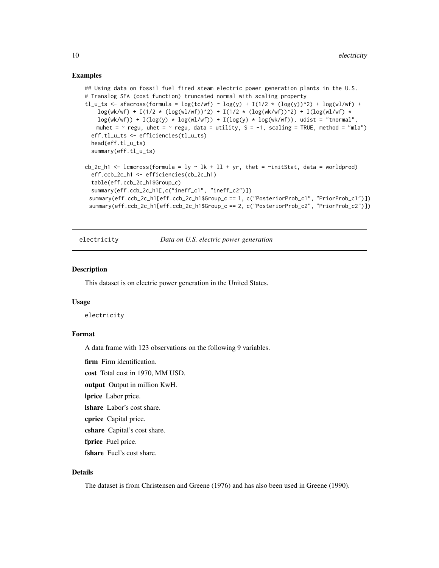### <span id="page-9-0"></span>Examples

```
## Using data on fossil fuel fired steam electric power generation plants in the U.S.
# Translog SFA (cost function) truncated normal with scaling property
tl_u_ts <- sfacross(formula = log(tc/wf) ~ log(y) + I(1/2 * (log(y))^2) + log(wl/wf) +
    \log(wk/wf) + I(1/2 \times (\log(w1/wf))^2) + I(1/2 \times (\log(wk/wf))^2) + I(\log(w1/wf) \timeslog(wk/wf)) + I(log(y) * log(wl/wf)) + I(log(y) * log(wk/wf)), udist = "tnormal",
   muhet = \sim regu, uhet = \sim regu, data = utility, S = -1, scaling = TRUE, method = "mla")
 eff.tl_u_ts <- efficiencies(tl_u_ts)
 head(eff.tl_u_ts)
 summary(eff.tl_u_ts)
cb_2c_h1 <- lcmcross(formula = ly \sim lk + ll + yr, thet = \siminitStat, data = worldprod)
 eff.ccb_2c_h1 <- efficiencies(cb_2c_h1)
 table(eff.ccb_2c_h1$Group_c)
 summary(eff.ccb_2c_h1[,c("ineff_c1", "ineff_c2")])
 summary(eff.ccb_2c_h1[eff.ccb_2c_h1$Group_c == 1, c("PosteriorProb_c1", "PriorProb_c1")])
 summary(eff.ccb_2c_h1[eff.ccb_2c_h1$Group_c == 2, c("PosteriorProb_c2", "PriorProb_c2")])
```
electricity *Data on U.S. electric power generation*

#### **Description**

This dataset is on electric power generation in the United States.

#### Usage

electricity

## Format

A data frame with 123 observations on the following 9 variables.

firm Firm identification.

cost Total cost in 1970, MM USD.

output Output in million KwH.

lprice Labor price.

lshare Labor's cost share.

cprice Capital price.

cshare Capital's cost share.

fprice Fuel price.

fshare Fuel's cost share.

#### Details

The dataset is from Christensen and Greene (1976) and has also been used in Greene (1990).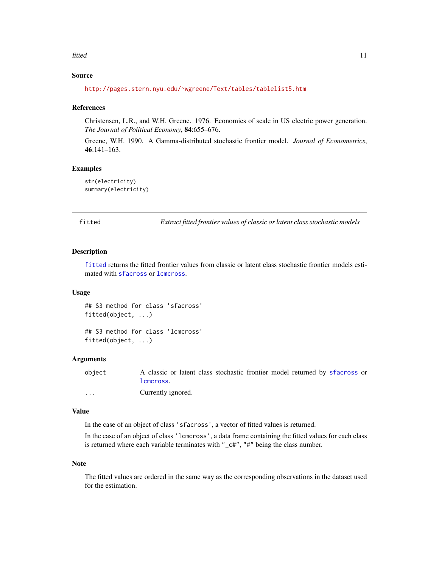#### <span id="page-10-0"></span>fitted 11 and 200 million 200 million 200 million 200 million 200 million 200 million 200 million 200 million 200 million 200 million 200 million 200 million 200 million 200 million 200 million 200 million 200 million 200

## Source

<http://pages.stern.nyu.edu/~wgreene/Text/tables/tablelist5.htm>

#### References

Christensen, L.R., and W.H. Greene. 1976. Economies of scale in US electric power generation. *The Journal of Political Economy*, 84:655–676.

Greene, W.H. 1990. A Gamma-distributed stochastic frontier model. *Journal of Econometrics*, 46:141–163.

## Examples

```
str(electricity)
summary(electricity)
```
<span id="page-10-1"></span>fitted *Extract fitted frontier values of classic or latent class stochastic models*

#### <span id="page-10-2"></span>Description

[fitted](#page-10-1) returns the fitted frontier values from classic or latent class stochastic frontier models estimated with [sfacross](#page-23-1) or [lcmcross](#page-12-1).

## Usage

## S3 method for class 'sfacross' fitted(object, ...)

## S3 method for class 'lcmcross' fitted(object, ...)

#### Arguments

object A classic or latent class stochastic frontier model returned by [sfacross](#page-23-1) or [lcmcross](#page-12-1). ... Currently ignored.

## Value

In the case of an object of class 'sfacross', a vector of fitted values is returned.

In the case of an object of class 'lcmcross', a data frame containing the fitted values for each class is returned where each variable terminates with "\_c#", "#" being the class number.

#### Note

The fitted values are ordered in the same way as the corresponding observations in the dataset used for the estimation.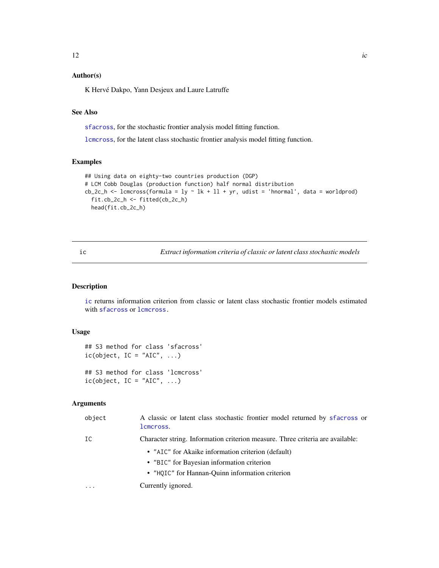## <span id="page-11-0"></span>Author(s)

K Hervé Dakpo, Yann Desjeux and Laure Latruffe

## See Also

[sfacross](#page-23-1), for the stochastic frontier analysis model fitting function.

[lcmcross](#page-12-1), for the latent class stochastic frontier analysis model fitting function.

## Examples

```
## Using data on eighty-two countries production (DGP)
# LCM Cobb Douglas (production function) half normal distribution
cb_2c_h <- lcmcross(formula = ly \sim lk + ll + yr, udist = 'hnormal', data = worldprod)
  fit.cb_2c_h <- fitted(cb_2c_h)
  head(fit.cb_2c_h)
```
<span id="page-11-1"></span>ic *Extract information criteria of classic or latent class stochastic models*

#### <span id="page-11-2"></span>Description

[ic](#page-11-1) returns information criterion from classic or latent class stochastic frontier models estimated with [sfacross](#page-23-1) or [lcmcross.](#page-12-1)

## Usage

```
## S3 method for class 'sfacross'
ic(object, IC = "AIC", ...)## S3 method for class 'lcmcross'
ic(object, IC = "AIC", ...)
```
#### Arguments

| object   | A classic or latent class stochastic frontier model returned by sfacross or<br>lcmcross. |
|----------|------------------------------------------------------------------------------------------|
| IC       | Character string. Information criterion measure. Three criteria are available:           |
|          | • "AIC" for Akaike information criterion (default)                                       |
|          | • "BIC" for Bayesian information criterion                                               |
|          | • "HQIC" for Hannan-Quinn information criterion                                          |
| $\cdots$ | Currently ignored.                                                                       |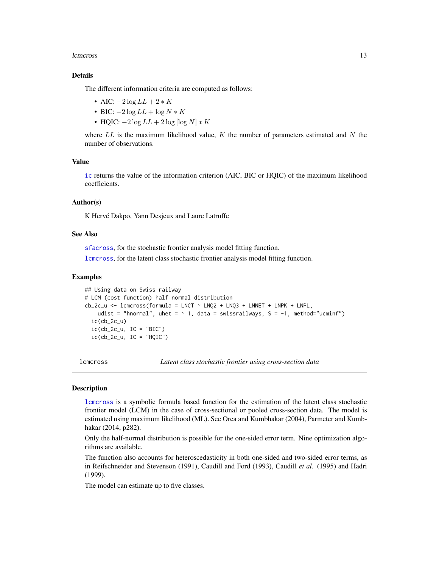#### <span id="page-12-0"></span>lcmcross and the contract of the contract of the contract of the contract of the contract of the contract of the contract of the contract of the contract of the contract of the contract of the contract of the contract of t

## Details

The different information criteria are computed as follows:

- AIC:  $-2 \log LL + 2 * K$
- BIC:  $-2 \log LL + \log N * K$
- HQIC:  $-2 \log LL + 2 \log [\log N] * K$

where  $LL$  is the maximum likelihood value, K the number of parameters estimated and N the number of observations.

#### Value

[ic](#page-11-1) returns the value of the information criterion (AIC, BIC or HQIC) of the maximum likelihood coefficients.

#### Author(s)

K Hervé Dakpo, Yann Desjeux and Laure Latruffe

#### See Also

[sfacross](#page-23-1), for the stochastic frontier analysis model fitting function.

[lcmcross](#page-12-1), for the latent class stochastic frontier analysis model fitting function.

#### Examples

```
## Using data on Swiss railway
# LCM (cost function) half normal distribution
cb_2c_u \leftarrow lcmcross(formula = LNCT \sim LNQ2 + LNQ3 + LNNET + LNPK + LNPL,
   udist = "hnormal", uhet = \sim 1, data = swissrailways, S = -1, method="ucminf")
 ic(cb_2c_u)ic(cb_2c_u, IC = "BIC")ic(cb_2c_u, IC = "HOIC")
```
<span id="page-12-1"></span>lcmcross *Latent class stochastic frontier using cross-section data*

#### **Description**

[lcmcross](#page-12-1) is a symbolic formula based function for the estimation of the latent class stochastic frontier model (LCM) in the case of cross-sectional or pooled cross-section data. The model is estimated using maximum likelihood (ML). See Orea and Kumbhakar (2004), Parmeter and Kumbhakar (2014, p282).

Only the half-normal distribution is possible for the one-sided error term. Nine optimization algorithms are available.

The function also accounts for heteroscedasticity in both one-sided and two-sided error terms, as in Reifschneider and Stevenson (1991), Caudill and Ford (1993), Caudill *et al.* (1995) and Hadri (1999).

The model can estimate up to five classes.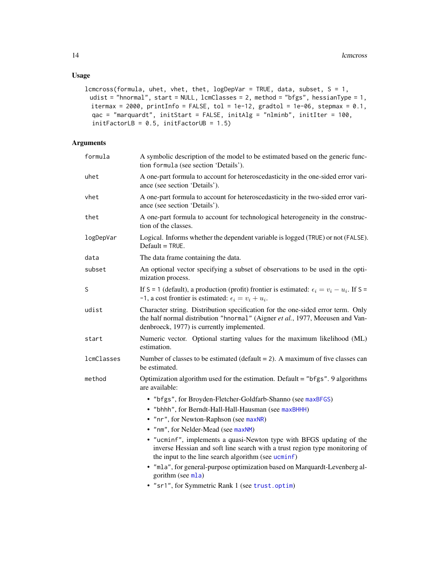## <span id="page-13-0"></span>Usage

```
lcmcross(formula, uhet, vhet, thet, logDepVar = TRUE, data, subset, S = 1,
 udist = "hnormal", start = NULL, lcmClasses = 2, method = "bfgs", hessianType = 1,
 itermax = 2000, printInfo = FALSE, tol = 1e-12, gradtol = 1e-06, stepmax = 0.1,
 qac = "marquardt", initStart = FALSE, initAlg = "nlminb", initIter = 100,
 initFactorLB = 0.5, initFactorUB = 1.5)
```
## Arguments

| formula    | A symbolic description of the model to be estimated based on the generic func-<br>tion formula (see section 'Details').                                                                                        |
|------------|----------------------------------------------------------------------------------------------------------------------------------------------------------------------------------------------------------------|
| uhet       | A one-part formula to account for heteroscedasticity in the one-sided error vari-<br>ance (see section 'Details').                                                                                             |
| vhet       | A one-part formula to account for heteroscedasticity in the two-sided error vari-<br>ance (see section 'Details').                                                                                             |
| thet       | A one-part formula to account for technological heterogeneity in the construc-<br>tion of the classes.                                                                                                         |
| logDepVar  | Logical. Informs whether the dependent variable is logged (TRUE) or not (FALSE).<br>$Default = TRUE.$                                                                                                          |
| data       | The data frame containing the data.                                                                                                                                                                            |
| subset     | An optional vector specifying a subset of observations to be used in the opti-<br>mization process.                                                                                                            |
| S          | If S = 1 (default), a production (profit) frontier is estimated: $\epsilon_i = v_i - u_i$ . If S =<br>-1, a cost frontier is estimated: $\epsilon_i = v_i + u_i$ .                                             |
| udist      | Character string. Distribution specification for the one-sided error term. Only<br>the half normal distribution "hnormal" (Aigner et al., 1977, Meeusen and Van-<br>denbroeck, 1977) is currently implemented. |
| start      | Numeric vector. Optional starting values for the maximum likelihood (ML)<br>estimation.                                                                                                                        |
| lcmClasses | Number of classes to be estimated (default $= 2$ ). A maximum of five classes can<br>be estimated.                                                                                                             |
| method     | Optimization algorithm used for the estimation. Default = "bfgs". 9 algorithms<br>are available:                                                                                                               |
|            | • "bfgs", for Broyden-Fletcher-Goldfarb-Shanno (see maxBFGS)                                                                                                                                                   |
|            | • "bhhh", for Berndt-Hall-Hall-Hausman (see maxBHHH)                                                                                                                                                           |
|            | • "nr", for Newton-Raphson (see maxNR)                                                                                                                                                                         |
|            | • "nm", for Nelder-Mead (see maxNM)                                                                                                                                                                            |
|            | • "ucminf", implements a quasi-Newton type with BFGS updating of the<br>inverse Hessian and soft line search with a trust region type monitoring of<br>the input to the line search algorithm (see ucminf)     |
|            | • "mla", for general-purpose optimization based on Marquardt-Levenberg al-<br>gorithm (see mla)                                                                                                                |
|            | • "sr1", for Symmetric Rank 1 (see trust.optim)                                                                                                                                                                |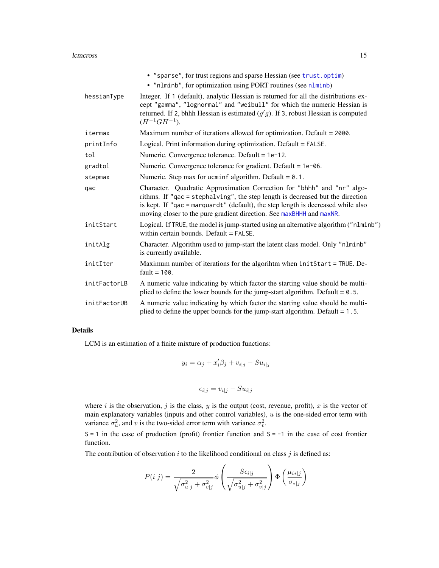#### <span id="page-14-0"></span>lcmcross and the contract of the contract of the contract of the contract of the contract of the contract of the contract of the contract of the contract of the contract of the contract of the contract of the contract of t

|              | • "sparse", for trust regions and sparse Hessian (see trust.optim)<br>• "nlminb", for optimization using PORT routines (see nlminb)                                                                                                                                                                                   |
|--------------|-----------------------------------------------------------------------------------------------------------------------------------------------------------------------------------------------------------------------------------------------------------------------------------------------------------------------|
| hessianType  | Integer. If 1 (default), analytic Hessian is returned for all the distributions ex-<br>cept "gamma", "lognormal" and "weibull" for which the numeric Hessian is<br>returned. If 2, bhhh Hessian is estimated $(g'g)$ . If 3, robust Hessian is computed<br>$(H^{-1}GH^{-1}).$                                         |
| itermax      | Maximum number of iterations allowed for optimization. Default $= 2000$ .                                                                                                                                                                                                                                             |
| printInfo    | Logical. Print information during optimization. Default = FALSE.                                                                                                                                                                                                                                                      |
| tol          | Numeric. Convergence tolerance. Default = 1e-12.                                                                                                                                                                                                                                                                      |
| gradtol      | Numeric. Convergence tolerance for gradient. Default = $1e$ -06.                                                                                                                                                                                                                                                      |
| stepmax      | Numeric. Step max for ucminf algorithm. Default = $0.1$ .                                                                                                                                                                                                                                                             |
| qac          | Character. Quadratic Approximation Correction for "bhhh" and "nr" algo-<br>rithms. If "qac = stephalving", the step length is decreased but the direction<br>is kept. If "qac = marquardt" (default), the step length is decreased while also<br>moving closer to the pure gradient direction. See maxBHHH and maxNR. |
| initStart    | Logical. If TRUE, the model is jump-started using an alternative algorithm ("nlminb")<br>within certain bounds. Default = FALSE.                                                                                                                                                                                      |
| initAlg      | Character. Algorithm used to jump-start the latent class model. Only "nlminb"<br>is currently available.                                                                                                                                                                                                              |
| initIter     | Maximum number of iterations for the algorihtm when initStart = TRUE. De-<br>$fault = 100.$                                                                                                                                                                                                                           |
| initFactorLB | A numeric value indicating by which factor the starting value should be multi-<br>plied to define the lower bounds for the jump-start algorithm. Default = $0.5$ .                                                                                                                                                    |
| initFactorUB | A numeric value indicating by which factor the starting value should be multi-<br>plied to define the upper bounds for the jump-start algorithm. Default $= 1.5$ .                                                                                                                                                    |

## Details

LCM is an estimation of a finite mixture of production functions:

$$
y_i = \alpha_j + x_i'\beta_j + v_{i|j} - Su_{i|j}
$$

$$
\epsilon_{i|j} = v_{i|j} - S u_{i|j}
$$

where  $i$  is the observation,  $j$  is the class,  $y$  is the output (cost, revenue, profit),  $x$  is the vector of main explanatory variables (inputs and other control variables),  $u$  is the one-sided error term with variance  $\sigma_u^2$ , and v is the two-sided error term with variance  $\sigma_v^2$ .

 $S = 1$  in the case of production (profit) frontier function and  $S = -1$  in the case of cost frontier function.

The contribution of observation  $i$  to the likelihood conditional on class  $j$  is defined as:

$$
P(i|j) = \frac{2}{\sqrt{\sigma_{u|j}^2 + \sigma_{v|j}^2}} \phi \left(\frac{S\epsilon_{i|j}}{\sqrt{\sigma_{u|j}^2 + \sigma_{v|j}^2}}\right) \Phi \left(\frac{\mu_{i*|j}}{\sigma_{i|j}}\right)
$$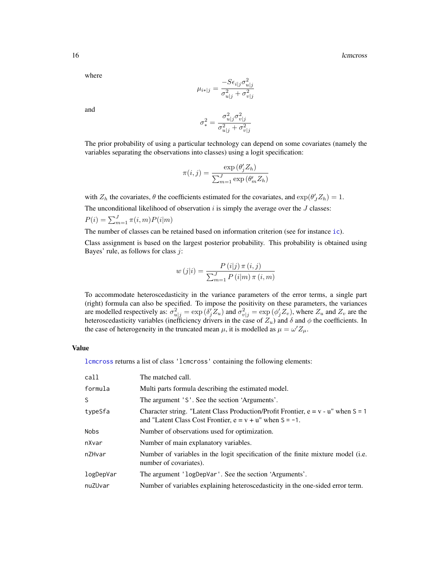#### <span id="page-15-0"></span>16 late 10 and 20 km s and 20 km s and 20 km s and 20 km s and 20 km s and 20 km s and 20 km s and 20 km s and 20 km s and 20 km s and 20 km s and 20 km s and 20 km s and 20 km s and 20 km s and 20 km s and 20 km s and 20

where

$$
\mu_{i*|j} = \frac{-S\epsilon_{i|j}\sigma_{u|j}^2}{\sigma_{u|j}^2 + \sigma_{v|j}^2}
$$

and

$$
\sigma_*^2 = \frac{\sigma_{u|j}^2 \sigma_{v|j}^2}{\sigma_{u|j}^2 + \sigma_{v|j}^2}
$$

The prior probability of using a particular technology can depend on some covariates (namely the variables separating the observations into classes) using a logit specification:

$$
\pi(i,j) = \frac{\exp\left(\theta_j' Z_h\right)}{\sum_{m=1}^J \exp\left(\theta_m' Z_h\right)}
$$

with  $Z_h$  the covariates,  $\theta$  the coefficients estimated for the covariates, and  $\exp(\theta'_J Z_h) = 1$ .

The unconditional likelihood of observation  $i$  is simply the average over the  $J$  classes:

$$
P(i) = \sum_{m=1}^{J} \pi(i, m) P(i|m)
$$

The number of classes can be retained based on information criterion (see for instance [ic](#page-11-2)).

Class assignment is based on the largest posterior probability. This probability is obtained using Bayes' rule, as follows for class  $j$ :

$$
w(j|i) = \frac{P(i|j) \pi(i,j)}{\sum_{m=1}^{J} P(i|m) \pi(i,m)}
$$

To accommodate heteroscedasticity in the variance parameters of the error terms, a single part (right) formula can also be specified. To impose the positivity on these parameters, the variances are modelled respectively as:  $\sigma_{u|j}^2 = \exp(\delta_j' Z_u)$  and  $\sigma_{v|j}^2 = \exp(\phi_j' Z_v)$ , where  $Z_u$  and  $Z_v$  are the heteroscedasticity variables (inefficiency drivers in the case of  $Z_u$ ) and  $\delta$  and  $\phi$  the coefficients. In the case of heterogeneity in the truncated mean  $\mu$ , it is modelled as  $\mu = \omega' Z_{\mu}$ .

#### Value

[lcmcross](#page-12-1) returns a list of class 'lcmcross' containing the following elements:

| call        | The matched call.                                                                                                                                        |
|-------------|----------------------------------------------------------------------------------------------------------------------------------------------------------|
| formula     | Multi parts formula describing the estimated model.                                                                                                      |
| S           | The argument 'S'. See the section 'Arguments'.                                                                                                           |
| typeSfa     | Character string. "Latent Class Production/Profit Frontier, $e = v - u$ " when $S = 1$<br>and "Latent Class Cost Frontier, $e = v + u$ " when $S = -1$ . |
| <b>Nobs</b> | Number of observations used for optimization.                                                                                                            |
| nXvar       | Number of main explanatory variables.                                                                                                                    |
| nZHvar      | Number of variables in the logit specification of the finite mixture model (i.e.<br>number of covariates).                                               |
| logDepVar   | The argument 'logDepVar'. See the section 'Arguments'.                                                                                                   |
| nuZUvar     | Number of variables explaining heteroscedasticity in the one-sided error term.                                                                           |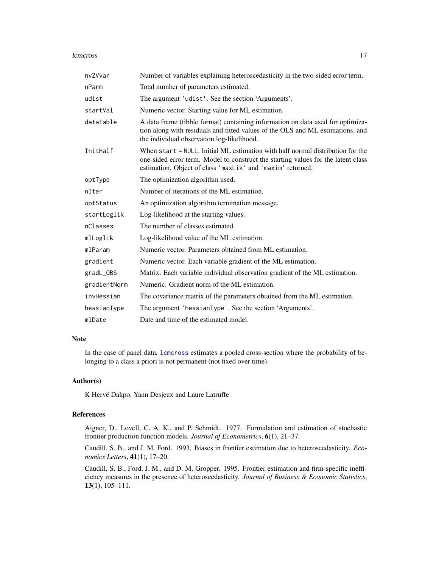#### <span id="page-16-0"></span>lcmcross and the contract of the contract of the contract of the contract of the contract of the contract of the contract of the contract of the contract of the contract of the contract of the contract of the contract of t

| nvZVvar      | Number of variables explaining heteroscedasticity in the two-sided error term.                                                                                                                                                    |
|--------------|-----------------------------------------------------------------------------------------------------------------------------------------------------------------------------------------------------------------------------------|
| nParm        | Total number of parameters estimated.                                                                                                                                                                                             |
| udist        | The argument 'udist'. See the section 'Arguments'.                                                                                                                                                                                |
| startVal     | Numeric vector. Starting value for ML estimation.                                                                                                                                                                                 |
| dataTable    | A data frame (tibble format) containing information on data used for optimiza-<br>tion along with residuals and fitted values of the OLS and ML estimations, and<br>the individual observation log-likelihood.                    |
| InitHalf     | When start = NULL. Initial ML estimation with half normal distribution for the<br>one-sided error term. Model to construct the starting values for the latent class<br>estimation. Object of class 'maxLik' and 'maxim' returned. |
| optType      | The optimization algorithm used.                                                                                                                                                                                                  |
| nIter        | Number of iterations of the ML estimation.                                                                                                                                                                                        |
| optStatus    | An optimization algorithm termination message.                                                                                                                                                                                    |
| startLoglik  | Log-likelihood at the starting values.                                                                                                                                                                                            |
| nClasses     | The number of classes estimated.                                                                                                                                                                                                  |
| mlLoglik     | Log-likelihood value of the ML estimation.                                                                                                                                                                                        |
| mlParam      | Numeric vector. Parameters obtained from ML estimation.                                                                                                                                                                           |
| gradient     | Numeric vector. Each variable gradient of the ML estimation.                                                                                                                                                                      |
| gradL_0BS    | Matrix. Each variable individual observation gradient of the ML estimation.                                                                                                                                                       |
| gradientNorm | Numeric. Gradient norm of the ML estimation.                                                                                                                                                                                      |
| invHessian   | The covariance matrix of the parameters obtained from the ML estimation.                                                                                                                                                          |
| hessianType  | The argument 'hessianType'. See the section 'Arguments'.                                                                                                                                                                          |
| mlDate       | Date and time of the estimated model.                                                                                                                                                                                             |

## Note

In the case of panel data, [lcmcross](#page-12-1) estimates a pooled cross-section where the probability of belonging to a class a priori is not permanent (not fixed over time).

#### Author(s)

K Hervé Dakpo, Yann Desjeux and Laure Latruffe

## References

Aigner, D., Lovell, C. A. K., and P. Schmidt. 1977. Formulation and estimation of stochastic frontier production function models. *Journal of Econometrics*, 6(1), 21–37.

Caudill, S. B., and J. M. Ford. 1993. Biases in frontier estimation due to heteroscedasticity. *Economics Letters*, 41(1), 17–20.

Caudill, S. B., Ford, J. M., and D. M. Gropper. 1995. Frontier estimation and firm-specific inefficiency measures in the presence of heteroscedasticity. *Journal of Business & Economic Statistics*, 13(1), 105–111.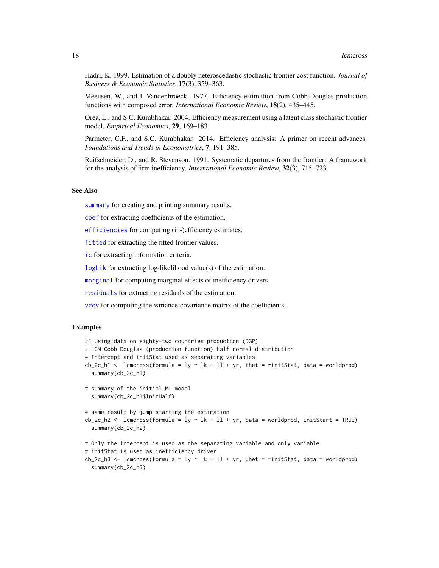<span id="page-17-0"></span>Hadri, K. 1999. Estimation of a doubly heteroscedastic stochastic frontier cost function. *Journal of Business & Economic Statistics*, 17(3), 359–363.

Meeusen, W., and J. Vandenbroeck. 1977. Efficiency estimation from Cobb-Douglas production functions with composed error. *International Economic Review*, 18(2), 435–445.

Orea, L., and S.C. Kumbhakar. 2004. Efficiency measurement using a latent class stochastic frontier model. *Empirical Economics*, 29, 169–183.

Parmeter, C.F., and S.C. Kumbhakar. 2014. Efficiency analysis: A primer on recent advances. *Foundations and Trends in Econometrics*, 7, 191–385.

Reifschneider, D., and R. Stevenson. 1991. Systematic departures from the frontier: A framework for the analysis of firm inefficiency. *International Economic Review*, 32(3), 715–723.

#### See Also

[summary](#page-31-1) for creating and printing summary results.

[coef](#page-2-2) for extracting coefficients of the estimation.

[efficiencies](#page-5-2) for computing (in-)efficiency estimates.

[fitted](#page-10-2) for extracting the fitted frontier values.

[ic](#page-11-2) for extracting information criteria.

[logLik](#page-18-1) for extracting log-likelihood value(s) of the estimation.

[marginal](#page-19-1) for computing marginal effects of inefficiency drivers.

[residuals](#page-20-1) for extracting residuals of the estimation.

[vcov](#page-35-1) for computing the variance-covariance matrix of the coefficients.

#### Examples

```
## Using data on eighty-two countries production (DGP)
# LCM Cobb Douglas (production function) half normal distribution
# Intercept and initStat used as separating variables
cb_2c_h1 <- lcmcross(formula = ly \sim lk + ll + yr, thet = \siminitStat, data = worldprod)
 summary(cb_2c_h1)
# summary of the initial ML model
 summary(cb_2c_h1$InitHalf)
# same result by jump-starting the estimation
cb_2c_h2 <- lcmcross(formula = ly \sim lk + ll + yr, data = worldprod, initStart = TRUE)
 summary(cb_2c_h2)
# Only the intercept is used as the separating variable and only variable
# initStat is used as inefficiency driver
cb_2c_h3 <- lcmcross(formula = ly \sim lk + ll + yr, uhet = \siminitStat, data = worldprod)
 summary(cb_2c_h3)
```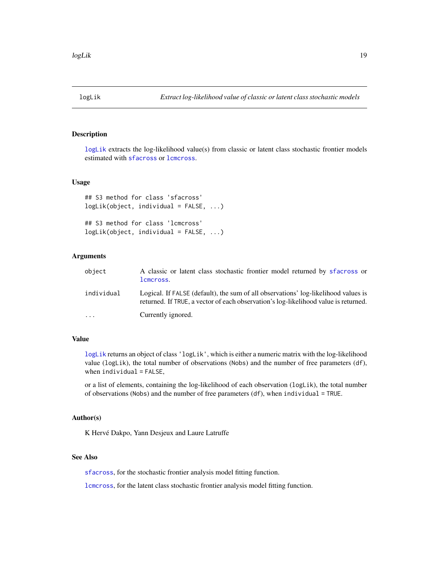<span id="page-18-2"></span><span id="page-18-0"></span>

## <span id="page-18-1"></span>Description

[logLik](#page-18-2) extracts the log-likelihood value(s) from classic or latent class stochastic frontier models estimated with [sfacross](#page-23-1) or [lcmcross](#page-12-1).

## Usage

## S3 method for class 'sfacross' logLik(object, individual = FALSE, ...)

## S3 method for class 'lcmcross' logLik(object, individual = FALSE, ...)

## Arguments

| object     | A classic or latent class stochastic frontier model returned by sfacross or<br>lcmcross.                                                                                  |
|------------|---------------------------------------------------------------------------------------------------------------------------------------------------------------------------|
| individual | Logical. If FALSE (default), the sum of all observations' log-likelihood values is<br>returned. If TRUE, a vector of each observation's log-likelihood value is returned. |
| $\ddots$ . | Currently ignored.                                                                                                                                                        |

## Value

[logLik](#page-18-2) returns an object of class 'logLik', which is either a numeric matrix with the log-likelihood value (logLik), the total number of observations (Nobs) and the number of free parameters (df), when  $indivial = FALSE$ ,

or a list of elements, containing the log-likelihood of each observation (logLik), the total number of observations (Nobs) and the number of free parameters  $(df)$ , when individual = TRUE.

#### Author(s)

K Hervé Dakpo, Yann Desjeux and Laure Latruffe

## See Also

[sfacross](#page-23-1), for the stochastic frontier analysis model fitting function.

[lcmcross](#page-12-1), for the latent class stochastic frontier analysis model fitting function.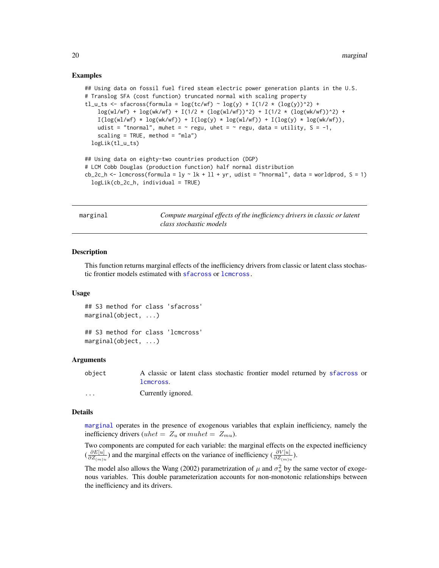#### Examples

```
## Using data on fossil fuel fired steam electric power generation plants in the U.S.
# Translog SFA (cost function) truncated normal with scaling property
tl_u_ts <- sfacross(formula = log(tc/wf) ~ log(y) + I(1/2 * (log(y))^2) +
    log(w1/wf) + log(wk/wf) + I(1/2 * (log(w1/wf))^2) + I(1/2 * (log(wk/wf))^2) +I(log(w1/wf) * log(wk/wf)) + I(log(y) * log(w1/wf)) + I(log(y) * log(wk/wf)),udist = "tnormal", muhet = \sim regu, uhet = \sim regu, data = utility, S = -1,
    scaling = TRUE, method = "mla")
 logLik(tl_u_ts)
## Using data on eighty-two countries production (DGP)
# LCM Cobb Douglas (production function) half normal distribution
cb_2c_h <- lcmcross(formula = ly \sim lk + ll + yr, udist = "hnormal", data = worldprod, S = 1)
 logLik(cb_2c_h, individual = TRUE)
```
<span id="page-19-2"></span>

| marginal | Compute marginal effects of the inefficiency drivers in classic or latent |
|----------|---------------------------------------------------------------------------|
|          | class stochastic models                                                   |

#### <span id="page-19-1"></span>Description

This function returns marginal effects of the inefficiency drivers from classic or latent class stochastic frontier models estimated with [sfacross](#page-23-1) or lemeross.

#### Usage

```
## S3 method for class 'sfacross'
marginal(object, ...)
```
## S3 method for class 'lcmcross' marginal(object, ...)

#### Arguments

| object | A classic or latent class stochastic frontier model returned by sfacross or |
|--------|-----------------------------------------------------------------------------|
|        | lcmcross.                                                                   |
| .      | Currently ignored.                                                          |

#### Details

[marginal](#page-19-2) operates in the presence of exogenous variables that explain inefficiency, namely the inefficiency drivers (uhet =  $Z_u$  or muhet =  $Z_{mu}$ ).

Two components are computed for each variable: the marginal effects on the expected inefficiency  $\left(\frac{\partial E[u]}{\partial Z}\right)$  $\frac{\partial E[u]}{\partial Z_{(m)}u}$ ) and the marginal effects on the variance of inefficiency  $\left(\frac{\partial V[u]}{\partial Z_{(m)}u}\right)$ .

The model also allows the Wang (2002) parametrization of  $\mu$  and  $\sigma_u^2$  by the same vector of exogenous variables. This double parameterization accounts for non-monotonic relationships between the inefficiency and its drivers.

<span id="page-19-0"></span>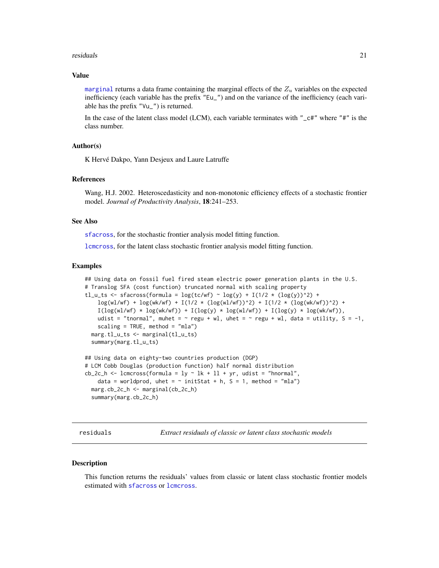#### <span id="page-20-0"></span>residuals 21

#### Value

[marginal](#page-19-2) returns a data frame containing the marginal effects of the  $Z_u$  variables on the expected inefficiency (each variable has the prefix "Eu\_") and on the variance of the inefficiency (each variable has the prefix "Vu\_") is returned.

In the case of the latent class model (LCM), each variable terminates with " $_c$  $ct$ " where "#" is the class number.

## Author(s)

K Hervé Dakpo, Yann Desjeux and Laure Latruffe

#### References

Wang, H.J. 2002. Heteroscedasticity and non-monotonic efficiency effects of a stochastic frontier model. *Journal of Productivity Analysis*, 18:241–253.

#### See Also

[sfacross](#page-23-1), for the stochastic frontier analysis model fitting function.

[lcmcross](#page-12-1), for the latent class stochastic frontier analysis model fitting function.

#### Examples

```
## Using data on fossil fuel fired steam electric power generation plants in the U.S.
# Translog SFA (cost function) truncated normal with scaling property
tl_u_ts <- sfacross(formula = log(tc/wf) ~ log(y) + I(1/2 * (log(y))^2) +
    \log(w1/wf) + \log(wk/wf) + I(1/2 * (\log(w1/wf))^2) + I(1/2 * (\log(wk/wf))^2) +
    I(log(w1/wf) * log(wk/wf)) + I(log(y) * log(w1/wf)) + I(log(y) * log(wk/wf)),udist = "tnormal", muhet = \sim regu + wl, uhet = \sim regu + wl, data = utility, S = -1,
    scaling = TRUE, method = "mla")
 marg.tl_u_ts <- marginal(tl_u_ts)
 summary(marg.tl_u_ts)
## Using data on eighty-two countries production (DGP)
# LCM Cobb Douglas (production function) half normal distribution
cb_2c_h \leftarrow lcmcross(formula = ly \sim lk + ll + yr, udist = "hnormal",
    data = worldprod, uhet = \sim initStat + h, S = 1, method = "mla")
 marg.cb_2c_h <- marginal(cb_2c_h)
 summary(marg.cb_2c_h)
```
<span id="page-20-2"></span>

residuals *Extract residuals of classic or latent class stochastic models*

#### <span id="page-20-1"></span>Description

This function returns the residuals' values from classic or latent class stochastic frontier models estimated with [sfacross](#page-23-1) or [lcmcross](#page-12-1).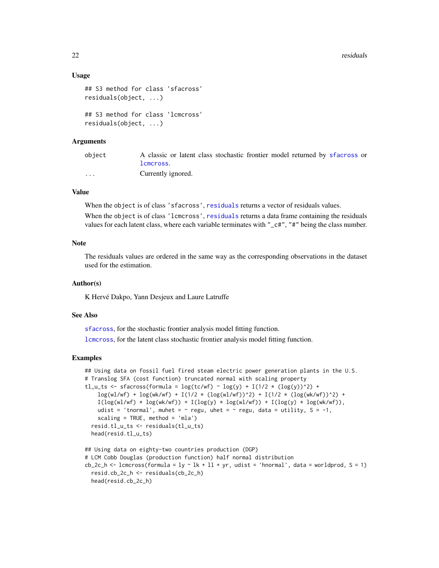### Usage

```
## S3 method for class 'sfacross'
residuals(object, ...)
## S3 method for class 'lcmcross'
residuals(object, ...)
```
#### Arguments

| object   | A classic or latent class stochastic frontier model returned by sfacross or |
|----------|-----------------------------------------------------------------------------|
|          | lcmcross.                                                                   |
| $\cdots$ | Currently ignored.                                                          |

## Value

When the object is of class 'sfacross', [residuals](#page-20-2) returns a vector of residuals values.

When the object is of class 'lcmcross', [residuals](#page-20-2) returns a data frame containing the residuals values for each latent class, where each variable terminates with "\_c#", "#" being the class number.

#### Note

The residuals values are ordered in the same way as the corresponding observations in the dataset used for the estimation.

## Author(s)

K Hervé Dakpo, Yann Desjeux and Laure Latruffe

#### See Also

[sfacross](#page-23-1), for the stochastic frontier analysis model fitting function.

[lcmcross](#page-12-1), for the latent class stochastic frontier analysis model fitting function.

#### Examples

```
## Using data on fossil fuel fired steam electric power generation plants in the U.S.
# Translog SFA (cost function) truncated normal with scaling property
tl_u_ts <- sfacross(formula = \log(tc/wf) \sim \log(y) + I(1/2 \times (\log(y))^2) +
    \log(w1/wf) + \log(wk/wf) + I(1/2 * (\log(w1/wf))^2) + I(1/2 * (\log(wk/wf))^2) +
    I(log(w1/wf) * log(wk/wf)) + I(log(y) * log(w1/wf)) + I(log(y) * log(wk/wf)),udist = 'tnormal', muhet = \sim regu, uhet = \sim regu, data = utility, S = -1,
    scaling = TRUE, method = 'mla')
 resid.tl_u_ts <- residuals(tl_u_ts)
 head(resid.tl_u_ts)
```

```
## Using data on eighty-two countries production (DGP)
# LCM Cobb Douglas (production function) half normal distribution
cb_2c_h <- lcmcross(formula = ly \sim lk + ll + yr, udist = 'hnormal', data = worldprod, S = 1)
 resid.cb_2c_h <- residuals(cb_2c_h)
 head(resid.cb_2c_h)
```
<span id="page-21-0"></span>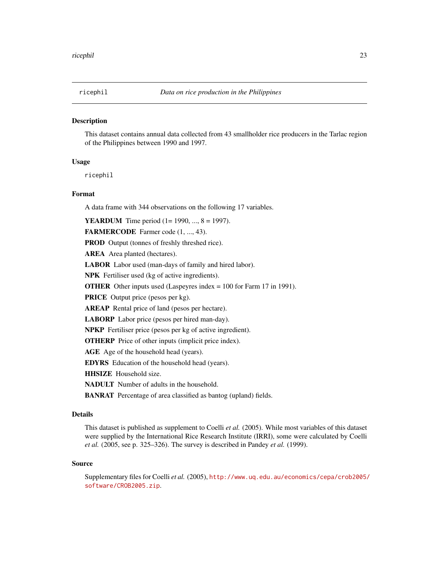<span id="page-22-0"></span>

#### **Description**

This dataset contains annual data collected from 43 smallholder rice producers in the Tarlac region of the Philippines between 1990 and 1997.

## Usage

ricephil

## Format

A data frame with 344 observations on the following 17 variables.

**YEARDUM** Time period (1= 1990, ..., 8 = 1997).

FARMERCODE Farmer code (1, ..., 43).

PROD Output (tonnes of freshly threshed rice).

AREA Area planted (hectares).

LABOR Labor used (man-days of family and hired labor).

NPK Fertiliser used (kg of active ingredients).

OTHER Other inputs used (Laspeyres index = 100 for Farm 17 in 1991).

PRICE Output price (pesos per kg).

AREAP Rental price of land (pesos per hectare).

LABORP Labor price (pesos per hired man-day).

NPKP Fertiliser price (pesos per kg of active ingredient).

OTHERP Price of other inputs (implicit price index).

AGE Age of the household head (years).

EDYRS Education of the household head (years).

HHSIZE Household size.

NADULT Number of adults in the household.

BANRAT Percentage of area classified as bantog (upland) fields.

## Details

This dataset is published as supplement to Coelli *et al.* (2005). While most variables of this dataset were supplied by the International Rice Research Institute (IRRI), some were calculated by Coelli *et al.* (2005, see p. 325–326). The survey is described in Pandey *et al.* (1999).

#### Source

Supplementary files for Coelli *et al.* (2005), [http://www.uq.edu.au/economics/cepa/crob2005/](http://www.uq.edu.au/economics/cepa/crob2005/software/CROB2005.zip) [software/CROB2005.zip](http://www.uq.edu.au/economics/cepa/crob2005/software/CROB2005.zip).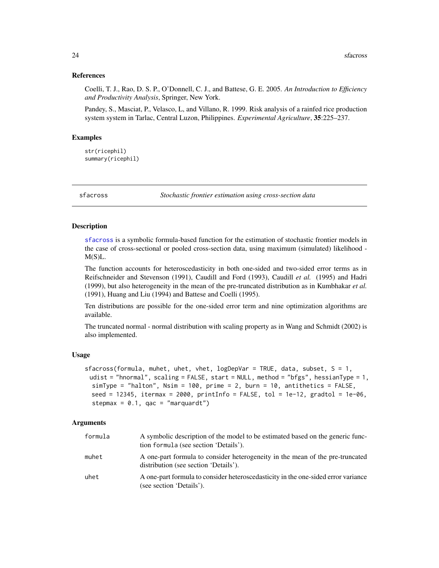#### <span id="page-23-0"></span>References

Coelli, T. J., Rao, D. S. P., O'Donnell, C. J., and Battese, G. E. 2005. *An Introduction to Efficiency and Productivity Analysis*, Springer, New York.

Pandey, S., Masciat, P., Velasco, L, and Villano, R. 1999. Risk analysis of a rainfed rice production system system in Tarlac, Central Luzon, Philippines. *Experimental Agriculture*, 35:225–237.

#### Examples

str(ricephil) summary(ricephil)

<span id="page-23-1"></span>

sfacross *Stochastic frontier estimation using cross-section data*

#### **Description**

[sfacross](#page-23-1) is a symbolic formula-based function for the estimation of stochastic frontier models in the case of cross-sectional or pooled cross-section data, using maximum (simulated) likelihood - M(S)L.

The function accounts for heteroscedasticity in both one-sided and two-sided error terms as in Reifschneider and Stevenson (1991), Caudill and Ford (1993), Caudill *et al.* (1995) and Hadri (1999), but also heterogeneity in the mean of the pre-truncated distribution as in Kumbhakar *et al.* (1991), Huang and Liu (1994) and Battese and Coelli (1995).

Ten distributions are possible for the one-sided error term and nine optimization algorithms are available.

The truncated normal - normal distribution with scaling property as in Wang and Schmidt (2002) is also implemented.

## Usage

```
sfacross(formula, muhet, uhet, vhet, logDepVar = TRUE, data, subset, S = 1,
 udist = "hnormal", scaling = FALSE, start = NULL, method = "bfgs", hessianType = 1,
  simType = "halton", Nsim = 100, prime = 2, burn = 10, antithetics = FALSE,
 seed = 12345, itermax = 2000, printInfo = FALSE, tol = 1e-12, gradtol = 1e-06,
  stepmax = 0.1, qac = "marquardt")
```
### Arguments

| formula | A symbolic description of the model to be estimated based on the generic func-<br>tion formula (see section 'Details'). |
|---------|-------------------------------------------------------------------------------------------------------------------------|
| muhet   | A one-part formula to consider heterogeneity in the mean of the pre-truncated<br>distribution (see section 'Details').  |
| uhet    | A one-part formula to consider heteroscedasticity in the one-sided error variance<br>(see section 'Details').           |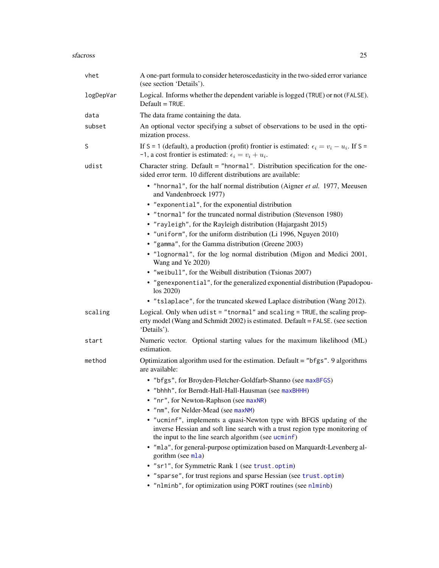<span id="page-24-0"></span>

| vhet      | A one-part formula to consider heteroscedasticity in the two-sided error variance<br>(see section 'Details').                                                                                              |
|-----------|------------------------------------------------------------------------------------------------------------------------------------------------------------------------------------------------------------|
| logDepVar | Logical. Informs whether the dependent variable is logged (TRUE) or not (FALSE).<br>$Default = TRUE$ .                                                                                                     |
| data      | The data frame containing the data.                                                                                                                                                                        |
| subset    | An optional vector specifying a subset of observations to be used in the opti-<br>mization process.                                                                                                        |
| S         | If S = 1 (default), a production (profit) frontier is estimated: $\epsilon_i = v_i - u_i$ . If S =<br>-1, a cost frontier is estimated: $\epsilon_i = v_i + u_i$ .                                         |
| udist     | Character string. Default = "hnormal". Distribution specification for the one-<br>sided error term. 10 different distributions are available:                                                              |
|           | • "hnormal", for the half normal distribution (Aigner et al. 1977, Meeusen<br>and Vandenbroeck 1977)                                                                                                       |
|           | • "exponential", for the exponential distribution                                                                                                                                                          |
|           | • "tnormal" for the truncated normal distribution (Stevenson 1980)                                                                                                                                         |
|           | • "rayleigh", for the Rayleigh distribution (Hajargasht 2015)                                                                                                                                              |
|           | • "uniform", for the uniform distribution (Li 1996, Nguyen 2010)                                                                                                                                           |
|           | • "gamma", for the Gamma distribution (Greene 2003)                                                                                                                                                        |
|           | • "lognormal", for the log normal distribution (Migon and Medici 2001,<br>Wang and Ye 2020)                                                                                                                |
|           | • "weibull", for the Weibull distribution (Tsionas 2007)                                                                                                                                                   |
|           | • "genexponential", for the generalized exponential distribution (Papadopou-<br>los 2020)                                                                                                                  |
|           | • "tslaplace", for the truncated skewed Laplace distribution (Wang 2012).                                                                                                                                  |
| scaling   | Logical. Only when $udist = "tnormal"$ and $scaling = TRUE$ , the scaling prop-<br>erty model (Wang and Schmidt 2002) is estimated. Default = FALSE. (see section<br>'Details').                           |
| start     | Numeric vector. Optional starting values for the maximum likelihood (ML)<br>estimation.                                                                                                                    |
| method    | Optimization algorithm used for the estimation. Default = "bfgs". 9 algorithms<br>are available:                                                                                                           |
|           | • "bfgs", for Broyden-Fletcher-Goldfarb-Shanno (see maxBFGS)                                                                                                                                               |
|           | "bhhh", for Berndt-Hall-Hall-Hausman (see maxBHHH)                                                                                                                                                         |
|           | • "nr", for Newton-Raphson (see maxNR)                                                                                                                                                                     |
|           | • "nm", for Nelder-Mead (see maxNM)                                                                                                                                                                        |
|           | • "ucminf", implements a quasi-Newton type with BFGS updating of the<br>inverse Hessian and soft line search with a trust region type monitoring of<br>the input to the line search algorithm (see ucminf) |
|           | • "mla", for general-purpose optimization based on Marquardt-Levenberg al-<br>gorithm (see mla)                                                                                                            |
|           | • "sr1", for Symmetric Rank 1 (see trust.optim)                                                                                                                                                            |
|           | • "sparse", for trust regions and sparse Hessian (see trust.optim)<br>• "nlminb", for optimization using PORT routines (see nlminb)                                                                        |
|           |                                                                                                                                                                                                            |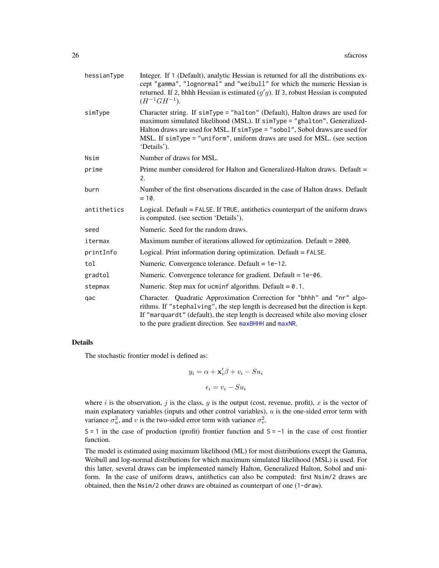<span id="page-25-0"></span>

| hessianType | Integer. If 1 (Default), analytic Hessian is returned for all the distributions ex-<br>cept "gamma", "lognormal" and "weibull" for which the numeric Hessian is<br>returned. If 2, bhhh Hessian is estimated $(g'g)$ . If 3, robust Hessian is computed<br>$(H^{-1}GH^{-1}).$                                                         |
|-------------|---------------------------------------------------------------------------------------------------------------------------------------------------------------------------------------------------------------------------------------------------------------------------------------------------------------------------------------|
| simType     | Character string. If simType = "halton" (Default), Halton draws are used for<br>maximum simulated likelihood (MSL). If simType = "ghalton", Generalized-<br>Halton draws are used for MSL. If simType = "sobol", Sobol draws are used for<br>MSL. If simType = "uniform", uniform draws are used for MSL. (see section<br>'Details'). |
| Nsim        | Number of draws for MSL.                                                                                                                                                                                                                                                                                                              |
| prime       | Prime number considered for Halton and Generalized-Halton draws. Default =<br>2.                                                                                                                                                                                                                                                      |
| burn        | Number of the first observations discarded in the case of Halton draws. Default<br>$= 10.$                                                                                                                                                                                                                                            |
| antithetics | Logical. Default = FALSE. If TRUE, antithetics counterpart of the uniform draws<br>is computed. (see section 'Details').                                                                                                                                                                                                              |
| seed        | Numeric. Seed for the random draws.                                                                                                                                                                                                                                                                                                   |
| itermax     | Maximum number of iterations allowed for optimization. Default = 2000.                                                                                                                                                                                                                                                                |
| printInfo   | Logical. Print information during optimization. Default = FALSE.                                                                                                                                                                                                                                                                      |
| tol         | Numeric. Convergence tolerance. Default = 1e-12.                                                                                                                                                                                                                                                                                      |
| gradtol     | Numeric. Convergence tolerance for gradient. Default = $1e$ -06.                                                                                                                                                                                                                                                                      |
| stepmax     | Numeric. Step max for ucminf algorithm. Default = $0.1$ .                                                                                                                                                                                                                                                                             |
| qac         | Character. Quadratic Approximation Correction for "bhhh" and "nr" algo-<br>rithms. If "stephalving", the step length is decreased but the direction is kept.<br>If "marquardt" (default), the step length is decreased while also moving closer<br>to the pure gradient direction. See maxBHHH and maxNR.                             |

### Details

The stochastic frontier model is defined as:

 $y_i = \alpha + \mathbf{x}'_i \beta + v_i - S u_i$ 

$$
\epsilon_i = v_i - S u_i
$$

where i is the observation, j is the class, y is the output (cost, revenue, profit), x is the vector of main explanatory variables (inputs and other control variables),  $u$  is the one-sided error term with variance  $\sigma_u^2$ , and v is the two-sided error term with variance  $\sigma_v^2$ .

 $S = 1$  in the case of production (profit) frontier function and  $S = -1$  in the case of cost frontier function.

The model is estimated using maximum likelihood (ML) for most distributions except the Gamma, Weibull and log-normal distributions for which maximum simulated likelihood (MSL) is used. For this latter, several draws can be implemented namely Halton, Generalized Halton, Sobol and uniform. In the case of uniform draws, antithetics can also be computed: first Nsim/2 draws are obtained, then the Nsim/2 other draws are obtained as counterpart of one (1-draw).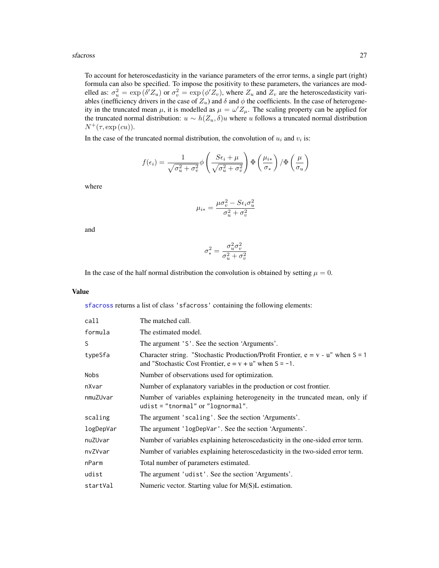#### <span id="page-26-0"></span>sfacross 27

To account for heteroscedasticity in the variance parameters of the error terms, a single part (right) formula can also be specified. To impose the positivity to these parameters, the variances are modelled as:  $\sigma_u^2 = \exp(\delta' Z_u)$  or  $\sigma_v^2 = \exp(\phi' Z_v)$ , where  $Z_u$  and  $Z_v$  are the heteroscedasticity variables (inefficiency drivers in the case of  $Z_u$ ) and  $\delta$  and  $\phi$  the coefficients. In the case of heterogeneity in the truncated mean  $\mu$ , it is modelled as  $\mu = \omega' Z_{\mu}$ . The scaling property can be applied for the truncated normal distribution:  $u \sim h(Z_u, \delta)u$  where u follows a truncated normal distribution  $N^+(\tau, \exp{(\epsilon u)}).$ 

In the case of the truncated normal distribution, the convolution of  $u_i$  and  $v_i$  is:

$$
f(\epsilon_i) = \frac{1}{\sqrt{\sigma_u^2 + \sigma_v^2}} \phi \left( \frac{S\epsilon_i + \mu}{\sqrt{\sigma_u^2 + \sigma_v^2}} \right) \Phi \left( \frac{\mu_{i*}}{\sigma_*} \right) / \Phi \left( \frac{\mu}{\sigma_u} \right)
$$

where

$$
\mu_{i*} = \frac{\mu \sigma_v^2 - S \epsilon_i \sigma_u^2}{\sigma_u^2 + \sigma_v^2}
$$

and

$$
\sigma_*^2 = \frac{\sigma_u^2 \sigma_v^2}{\sigma_u^2 + \sigma_v^2}
$$

In the case of the half normal distribution the convolution is obtained by setting  $\mu = 0$ .

## Value

[sfacross](#page-23-1) returns a list of class 'sfacross' containing the following elements:

| call      | The matched call.                                                                                                                                    |
|-----------|------------------------------------------------------------------------------------------------------------------------------------------------------|
| formula   | The estimated model.                                                                                                                                 |
| S         | The argument 'S'. See the section 'Arguments'.                                                                                                       |
| typeSfa   | Character string. "Stochastic Production/Profit Frontier, $e = v - u$ " when $S = 1$<br>and "Stochastic Cost Frontier, $e = v + u$ " when $S = -1$ . |
| Nobs      | Number of observations used for optimization.                                                                                                        |
| nXvar     | Number of explanatory variables in the production or cost frontier.                                                                                  |
| nmuZUvar  | Number of variables explaining heterogeneity in the truncated mean, only if<br>udist = "tnormal" or "lognormal".                                     |
| scaling   | The argument 'scaling'. See the section 'Arguments'.                                                                                                 |
| logDepVar | The argument 'logDepVar'. See the section 'Arguments'.                                                                                               |
| nuZUvar   | Number of variables explaining heteroscedasticity in the one-sided error term.                                                                       |
| nvZVvar   | Number of variables explaining heteroscedasticity in the two-sided error term.                                                                       |
| nParm     | Total number of parameters estimated.                                                                                                                |
| udist     | The argument 'udist'. See the section 'Arguments'.                                                                                                   |
| startVal  | Numeric vector. Starting value for $M(S)L$ estimation.                                                                                               |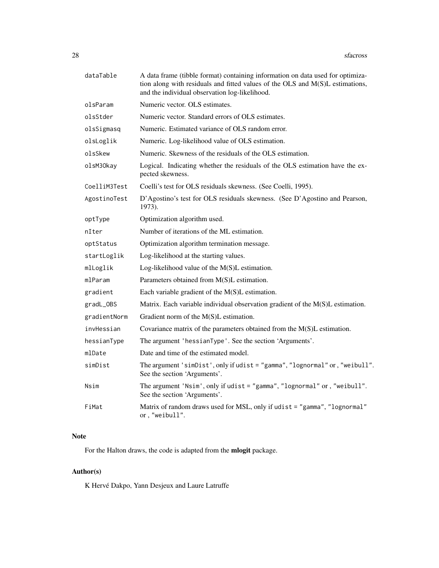| dataTable    | A data frame (tibble format) containing information on data used for optimiza-<br>tion along with residuals and fitted values of the OLS and M(S)L estimations,<br>and the individual observation log-likelihood. |
|--------------|-------------------------------------------------------------------------------------------------------------------------------------------------------------------------------------------------------------------|
| olsParam     | Numeric vector. OLS estimates.                                                                                                                                                                                    |
| olsStder     | Numeric vector. Standard errors of OLS estimates.                                                                                                                                                                 |
| olsSigmasq   | Numeric. Estimated variance of OLS random error.                                                                                                                                                                  |
| olsLoglik    | Numeric. Log-likelihood value of OLS estimation.                                                                                                                                                                  |
| olsSkew      | Numeric. Skewness of the residuals of the OLS estimation.                                                                                                                                                         |
| olsM30kay    | Logical. Indicating whether the residuals of the OLS estimation have the ex-<br>pected skewness.                                                                                                                  |
| CoelliM3Test | Coelli's test for OLS residuals skewness. (See Coelli, 1995).                                                                                                                                                     |
| AgostinoTest | D'Agostino's test for OLS residuals skewness. (See D'Agostino and Pearson,<br>1973).                                                                                                                              |
| optType      | Optimization algorithm used.                                                                                                                                                                                      |
| nIter        | Number of iterations of the ML estimation.                                                                                                                                                                        |
| optStatus    | Optimization algorithm termination message.                                                                                                                                                                       |
| startLoglik  | Log-likelihood at the starting values.                                                                                                                                                                            |
| mlLoglik     | Log-likelihood value of the $M(S)L$ estimation.                                                                                                                                                                   |
| mlParam      | Parameters obtained from M(S)L estimation.                                                                                                                                                                        |
| gradient     | Each variable gradient of the $M(S)L$ estimation.                                                                                                                                                                 |
| gradL_OBS    | Matrix. Each variable individual observation gradient of the M(S)L estimation.                                                                                                                                    |
| gradientNorm | Gradient norm of the M(S)L estimation.                                                                                                                                                                            |
| invHessian   | Covariance matrix of the parameters obtained from the $M(S)L$ estimation.                                                                                                                                         |
| hessianType  | The argument 'hessianType'. See the section 'Arguments'.                                                                                                                                                          |
| mlDate       | Date and time of the estimated model.                                                                                                                                                                             |
| simDist      | The argument 'simDist', only if udist = "gamma", "lognormal" or, "weibull".<br>See the section 'Arguments'.                                                                                                       |
| Nsim         | The argument 'Nsim', only if udist = "gamma", "lognormal" or, "weibull".<br>See the section 'Arguments'.                                                                                                          |
| FiMat        | Matrix of random draws used for MSL, only if udist = "gamma", "lognormal"<br>or, "weibull".                                                                                                                       |

## Note

For the Halton draws, the code is adapted from the mlogit package.

## Author(s)

K Hervé Dakpo, Yann Desjeux and Laure Latruffe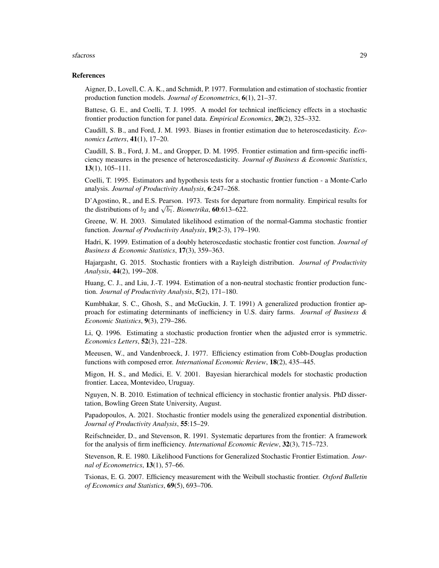#### sfacross 29

#### References

Aigner, D., Lovell, C. A. K., and Schmidt, P. 1977. Formulation and estimation of stochastic frontier production function models. *Journal of Econometrics*, 6(1), 21–37.

Battese, G. E., and Coelli, T. J. 1995. A model for technical inefficiency effects in a stochastic frontier production function for panel data. *Empirical Economics*, 20(2), 325–332.

Caudill, S. B., and Ford, J. M. 1993. Biases in frontier estimation due to heteroscedasticity. *Economics Letters*, 41(1), 17–20.

Caudill, S. B., Ford, J. M., and Gropper, D. M. 1995. Frontier estimation and firm-specific inefficiency measures in the presence of heteroscedasticity. *Journal of Business & Economic Statistics*, 13(1), 105–111.

Coelli, T. 1995. Estimators and hypothesis tests for a stochastic frontier function - a Monte-Carlo analysis. *Journal of Productivity Analysis*, 6:247–268.

D'Agostino, R., and E.S. Pearson. 1973. Tests for departure from normality. Empirical results for  $B$  Agostino, K., and E.S. Pearson. 1975. Tests for departure distributions of  $b_2$  and  $\sqrt{b_1}$ . *Biometrika*, **60**:613–622.

Greene, W. H. 2003. Simulated likelihood estimation of the normal-Gamma stochastic frontier function. *Journal of Productivity Analysis*, 19(2-3), 179–190.

Hadri, K. 1999. Estimation of a doubly heteroscedastic stochastic frontier cost function. *Journal of Business & Economic Statistics*, 17(3), 359–363.

Hajargasht, G. 2015. Stochastic frontiers with a Rayleigh distribution. *Journal of Productivity Analysis*, 44(2), 199–208.

Huang, C. J., and Liu, J.-T. 1994. Estimation of a non-neutral stochastic frontier production function. *Journal of Productivity Analysis*, 5(2), 171–180.

Kumbhakar, S. C., Ghosh, S., and McGuckin, J. T. 1991) A generalized production frontier approach for estimating determinants of inefficiency in U.S. dairy farms. *Journal of Business & Economic Statistics*, 9(3), 279–286.

Li, Q. 1996. Estimating a stochastic production frontier when the adjusted error is symmetric. *Economics Letters*, 52(3), 221–228.

Meeusen, W., and Vandenbroeck, J. 1977. Efficiency estimation from Cobb-Douglas production functions with composed error. *International Economic Review*, 18(2), 435–445.

Migon, H. S., and Medici, E. V. 2001. Bayesian hierarchical models for stochastic production frontier. Lacea, Montevideo, Uruguay.

Nguyen, N. B. 2010. Estimation of technical efficiency in stochastic frontier analysis. PhD dissertation, Bowling Green State University, August.

Papadopoulos, A. 2021. Stochastic frontier models using the generalized exponential distribution. *Journal of Productivity Analysis*, 55:15–29.

Reifschneider, D., and Stevenson, R. 1991. Systematic departures from the frontier: A framework for the analysis of firm inefficiency. *International Economic Review*, 32(3), 715–723.

Stevenson, R. E. 1980. Likelihood Functions for Generalized Stochastic Frontier Estimation. *Journal of Econometrics*, 13(1), 57–66.

Tsionas, E. G. 2007. Efficiency measurement with the Weibull stochastic frontier. *Oxford Bulletin of Economics and Statistics*, 69(5), 693–706.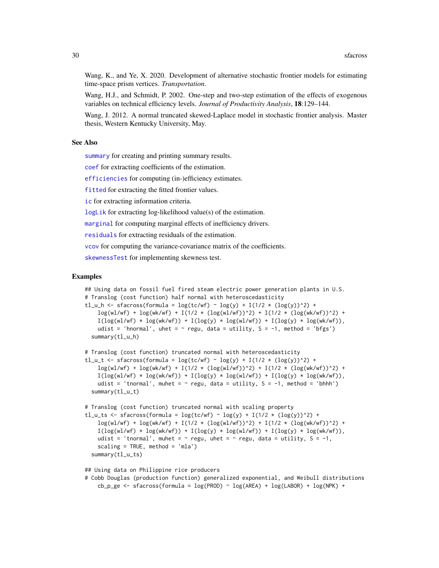<span id="page-29-0"></span>Wang, K., and Ye, X. 2020. Development of alternative stochastic frontier models for estimating time-space prism vertices. *Transportation*.

Wang, H.J., and Schmidt, P. 2002. One-step and two-step estimation of the effects of exogenous variables on technical efficiency levels. *Journal of Productivity Analysis*, 18:129–144.

Wang, J. 2012. A normal truncated skewed-Laplace model in stochastic frontier analysis. Master thesis, Western Kentucky University, May.

## See Also

[summary](#page-31-1) for creating and printing summary results.

[coef](#page-2-2) for extracting coefficients of the estimation.

[efficiencies](#page-5-2) for computing (in-)efficiency estimates.

[fitted](#page-10-2) for extracting the fitted frontier values.

[ic](#page-11-2) for extracting information criteria.

[logLik](#page-18-1) for extracting log-likelihood value(s) of the estimation.

[marginal](#page-19-1) for computing marginal effects of inefficiency drivers.

[residuals](#page-20-1) for extracting residuals of the estimation.

[vcov](#page-35-1) for computing the variance-covariance matrix of the coefficients.

[skewnessTest](#page-30-1) for implementing skewness test.

## Examples

```
## Using data on fossil fuel fired steam electric power generation plants in U.S.
# Translog (cost function) half normal with heteroscedasticity
tl_u_h <- sfacross(formula = log(tc/wf) ~ log(y) + I(1/2 * (log(y))^2) +
   \log(w1/wf) + \log(wk/wf) + I(1/2 * (\log(w1/wf))^2) + I(1/2 * (\log(wk/wf))^2) +
   I(log(wl/wf) * log(wk/wf)) + I(log(y) * log(wl/wf)) + I(log(y) * log(wk/wf)),udist = 'hnormal', uhet = \sim regu, data = utility, S = -1, method = 'bfgs')
 summary(tl_u_h)
```

```
# Translog (cost function) truncated normal with heteroscedasticity
tl_u_t <- sfacross(formula = log(tc/wf) ~ log(y) + I(1/2 * (log(y))^2) +
   \log(w1/wf) + \log(wk/wf) + I(1/2 * (\log(w1/wf))^2) + I(1/2 * (\log(wk/wf))^2) +
   I(log(wl/wf) * log(wk/wf)) + I(log(y) * log(wl/wf)) + I(log(y) * log(wk/wf)),udist = 'tnormal', muhet = \sim regu, data = utility, S = -1, method = 'bhhh')
 summary(tl_u_t)
```

```
# Translog (cost function) truncated normal with scaling property
tl_u_ts <- sfacross(formula = \log(tc/wf) \sim \log(y) + I(1/2 \times (\log(y))^2) +log(w1/wf) + log(wk/wf) + I(1/2 * (log(w1/wf))^2) + I(1/2 * (log(wk/wf))^2) +I(log(wl/wf) * log(wk/wf)) + I(log(y) * log(wl/wf)) + I(log(y) * log(wk/wf)),udist = 'tnormal', muhet = \sim regu, uhet = \sim regu, data = utility, S = -1,
    scaling = TRUE, method = 'mla')
 summary(tl_u_ts)
```
## Using data on Philippine rice producers # Cobb Douglas (production function) generalized exponential, and Weibull distributions cb\_p\_ge <- sfacross(formula =  $log(PROD) \sim log(AREA) + log(LABOR) + log(NPK) +$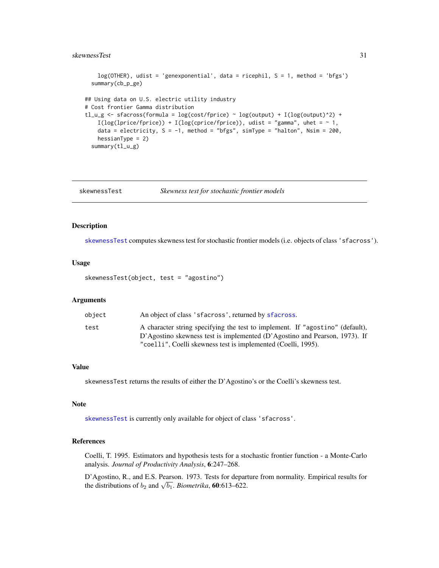#### <span id="page-30-0"></span>skewnessTest 31

```
log(OTHER), udist = 'genexponential', data = ricephil, S = 1, method = 'bfgs')
 summary(cb_p_ge)
## Using data on U.S. electric utility industry
# Cost frontier Gamma distribution
tl_u_g <- sfacross(formula = log(cost/fprice) ~ log(output) + I(log(output)^2) +
   I(log(1) + I(log(c) + I(log(c) - I)), udist = "gamma", uhet = ~ 1,
   data = electricity, S = -1, method = "bfgs", simType = "halton", Nsim = 200,
   hessianType = 2)
 summary(tl_u_g)
```
<span id="page-30-1"></span>

| skewnessTest | Skewness test for stochastic frontier models |  |  |
|--------------|----------------------------------------------|--|--|
|--------------|----------------------------------------------|--|--|

#### Description

[skewnessTest](#page-30-1) computes skewness test for stochastic frontier models (i.e. objects of class 'sfacross').

#### Usage

skewnessTest(object, test = "agostino")

#### Arguments

| object | An object of class 'sfacross', returned by sfacross.                          |
|--------|-------------------------------------------------------------------------------|
| test   | A character string specifying the test to implement. If "agostino" (default), |
|        | D'Agostino skewness test is implemented (D'Agostino and Pearson, 1973). If    |
|        | "coelli", Coelli skewness test is implemented (Coelli, 1995).                 |

#### Value

skewnessTest returns the results of either the D'Agostino's or the Coelli's skewness test.

#### Note

[skewnessTest](#page-30-1) is currently only available for object of class 'sfacross'.

## References

Coelli, T. 1995. Estimators and hypothesis tests for a stochastic frontier function - a Monte-Carlo analysis. *Journal of Productivity Analysis*, 6:247–268.

D'Agostino, R., and E.S. Pearson. 1973. Tests for departure from normality. Empirical results for  $B$  Agostino, K., and E.S. Pearson. 1975. Tests for departure distributions of  $b_2$  and  $\sqrt{b_1}$ . *Biometrika*, **60**:613–622.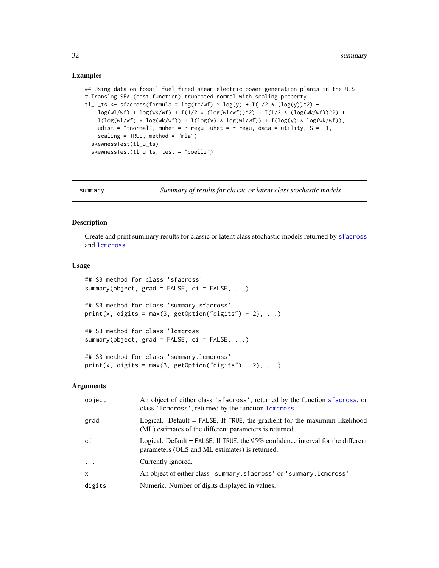#### Examples

```
## Using data on fossil fuel fired steam electric power generation plants in the U.S.
# Translog SFA (cost function) truncated normal with scaling property
tl_u_ts <- sfacross(formula = log(tc/wf) ~ log(y) + I(1/2 * (log(y))^2) +
    log(w1/wf) + log(wk/wf) + I(1/2 * (log(w1/wf))^2) + I(1/2 * (log(wk/wf))^2) +I(log(w1/wf) * log(wk/wf)) + I(log(y) * log(w1/wf)) + I(log(y) * log(wk/wf)),udist = "tnormal", muhet = \sim regu, uhet = \sim regu, data = utility, S = -1,
   scaling = TRUE, method = "mla")
 skewnessTest(tl_u_ts)
 skewnessTest(tl_u_ts, test = "coelli")
```
<span id="page-31-2"></span>summary *Summary of results for classic or latent class stochastic models*

#### <span id="page-31-1"></span>Description

Create and print summary results for classic or latent class stochastic models returned by [sfacross](#page-23-1) and [lcmcross](#page-12-1).

## Usage

```
## S3 method for class 'sfacross'
summary(object, grad = FALSE, ci = FALSE, ...)
## S3 method for class 'summary.sfacross'
print(x, \text{ digits} = max(3, \text{ getOption("digits")} - 2), ...)## S3 method for class 'lcmcross'
summary(object, grad = FALSE, ci = FALSE, ...)
## S3 method for class 'summary.lcmcross'
print(x, \text{ digits} = max(3, \text{ getOption("digits")} - 2), ...)
```
#### Arguments

| object   | An object of either class 'sfacross', returned by the function sfacross, or<br>class '1 cm cross', returned by the function 1 cm cross. |
|----------|-----------------------------------------------------------------------------------------------------------------------------------------|
| grad     | Logical. Default $=$ FALSE. If TRUE, the gradient for the maximum likelihood<br>(ML) estimates of the different parameters is returned. |
| ci       | Logical. Default = FALSE. If TRUE, the $95\%$ confidence interval for the different<br>parameters (OLS and ML estimates) is returned.   |
| $\ddots$ | Currently ignored.                                                                                                                      |
| X        | An object of either class 'summary.sfacross' or 'summary.lcmcross'.                                                                     |
| digits   | Numeric. Number of digits displayed in values.                                                                                          |

<span id="page-31-0"></span>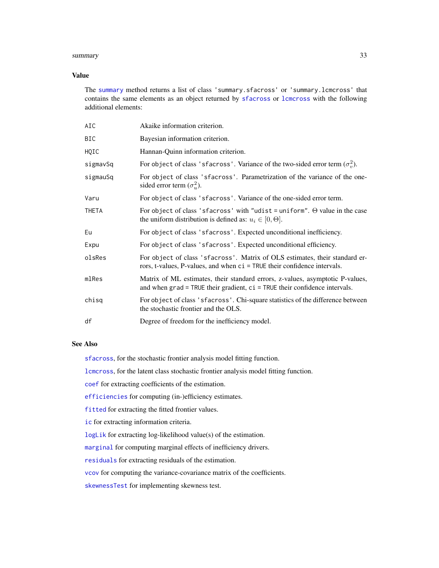#### <span id="page-32-0"></span>summary 33

## Value

The [summary](#page-31-2) method returns a list of class 'summary.sfacross' or 'summary.lcmcross' that contains the same elements as an object returned by [sfacross](#page-23-1) or [lcmcross](#page-12-1) with the following additional elements:

| AIC          | Akaike information criterion.                                                                                                                                   |
|--------------|-----------------------------------------------------------------------------------------------------------------------------------------------------------------|
| BIC          | Bayesian information criterion.                                                                                                                                 |
| HQIC         | Hannan-Quinn information criterion.                                                                                                                             |
| sigmavSq     | For object of class 'sfacross'. Variance of the two-sided error term $(\sigma_n^2)$ .                                                                           |
| sigmauSq     | For object of class 'sfacross'. Parametrization of the variance of the one-<br>sided error term $(\sigma_u^2)$ .                                                |
| Varu         | For object of class 'sfacross'. Variance of the one-sided error term.                                                                                           |
| <b>THETA</b> | For object of class 'sfacross' with "udist = uniform". $\Theta$ value in the case<br>the uniform distribution is defined as: $u_i \in [0, \Theta]$ .            |
| Eu           | For object of class 'sfacross'. Expected unconditional inefficiency.                                                                                            |
| Expu         | For object of class 'sfacross'. Expected unconditional efficiency.                                                                                              |
| olsRes       | For object of class 'sfacross'. Matrix of OLS estimates, their standard er-<br>rors, t-values, P-values, and when ci = TRUE their confidence intervals.         |
| mlRes        | Matrix of ML estimates, their standard errors, z-values, asymptotic P-values,<br>and when $grad = TRUE$ their gradient, $ci = TRUE$ their confidence intervals. |
| chisq        | For object of class 's facross'. Chi-square statistics of the difference between<br>the stochastic frontier and the OLS.                                        |
| df           | Degree of freedom for the inefficiency model.                                                                                                                   |

## See Also

[sfacross](#page-23-1), for the stochastic frontier analysis model fitting function.

[lcmcross](#page-12-1), for the latent class stochastic frontier analysis model fitting function.

[coef](#page-2-2) for extracting coefficients of the estimation.

[efficiencies](#page-5-2) for computing (in-)efficiency estimates.

[fitted](#page-10-2) for extracting the fitted frontier values.

[ic](#page-11-2) for extracting information criteria.

[logLik](#page-18-1) for extracting log-likelihood value(s) of the estimation.

[marginal](#page-19-1) for computing marginal effects of inefficiency drivers.

[residuals](#page-20-1) for extracting residuals of the estimation.

[vcov](#page-35-1) for computing the variance-covariance matrix of the coefficients.

[skewnessTest](#page-30-1) for implementing skewness test.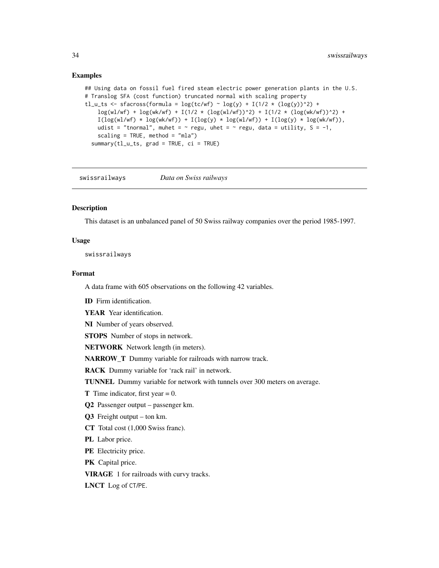#### <span id="page-33-0"></span>Examples

```
## Using data on fossil fuel fired steam electric power generation plants in the U.S.
# Translog SFA (cost function) truncated normal with scaling property
tl_u_ts <- sfacross(formula = \log(tc/wf) \sim \log(y) + I(1/2 \times (\log(y))^2) +log(w1/wf) + log(wk/wf) + I(1/2 * (log(w1/wf))^2) + I(1/2 * (log(wk/wf))^2) +I(log(w1/wf) * log(wk/wf)) + I(log(y) * log(w1/wf)) + I(log(y) * log(wk/wf)),udist = "tnormal", muhet = \sim regu, uhet = \sim regu, data = utility, S = -1,
   scaling = TRUE, method = "mla")
 summary(tl_u_ts, grad = TRUE, ci = TRUE)
```
swissrailways *Data on Swiss railways*

## **Description**

This dataset is an unbalanced panel of 50 Swiss railway companies over the period 1985-1997.

## Usage

swissrailways

## Format

A data frame with 605 observations on the following 42 variables.

ID Firm identification.

YEAR Year identification.

NI Number of years observed.

STOPS Number of stops in network.

NETWORK Network length (in meters).

NARROW\_T Dummy variable for railroads with narrow track.

RACK Dummy variable for 'rack rail' in network.

TUNNEL Dummy variable for network with tunnels over 300 meters on average.

**T** Time indicator, first year  $= 0$ .

Q2 Passenger output – passenger km.

Q3 Freight output – ton km.

CT Total cost (1,000 Swiss franc).

PL Labor price.

PE Electricity price.

PK Capital price.

VIRAGE 1 for railroads with curvy tracks.

LNCT Log of CT/PE.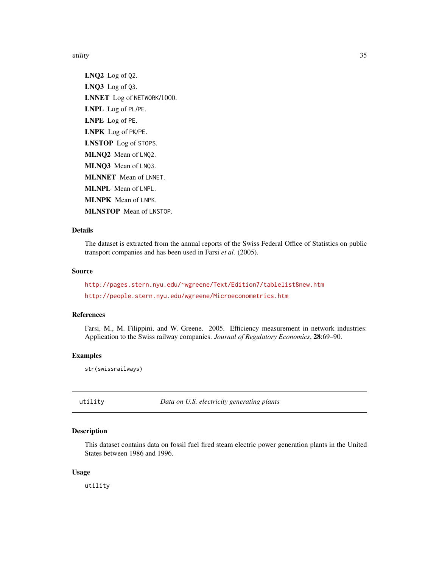<span id="page-34-0"></span>utility 35

LNQ2 Log of Q2. LNQ3 Log of Q3. LNNET Log of NETWORK/1000. LNPL Log of PL/PE. LNPE Log of PE. LNPK Log of PK/PE. LNSTOP Log of STOPS. MLNQ2 Mean of LNQ2. MLNQ3 Mean of LNQ3. MLNNET Mean of LNNET. MLNPL Mean of LNPL. MLNPK Mean of LNPK. MLNSTOP Mean of LNSTOP.

## Details

The dataset is extracted from the annual reports of the Swiss Federal Office of Statistics on public transport companies and has been used in Farsi *et al.* (2005).

### Source

<http://pages.stern.nyu.edu/~wgreene/Text/Edition7/tablelist8new.htm> <http://people.stern.nyu.edu/wgreene/Microeconometrics.htm>

## References

Farsi, M., M. Filippini, and W. Greene. 2005. Efficiency measurement in network industries: Application to the Swiss railway companies. *Journal of Regulatory Economics*, 28:69–90.

#### Examples

str(swissrailways)

utility *Data on U.S. electricity generating plants*

#### Description

This dataset contains data on fossil fuel fired steam electric power generation plants in the United States between 1986 and 1996.

#### Usage

utility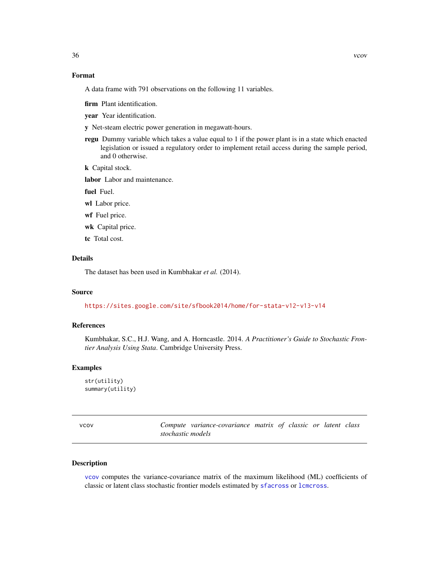## <span id="page-35-0"></span>Format

A data frame with 791 observations on the following 11 variables.

firm Plant identification.

year Year identification.

y Net-steam electric power generation in megawatt-hours.

regu Dummy variable which takes a value equal to 1 if the power plant is in a state which enacted legislation or issued a regulatory order to implement retail access during the sample period, and 0 otherwise.

k Capital stock.

labor Labor and maintenance.

fuel Fuel.

- wl Labor price.
- wf Fuel price.
- wk Capital price.
- tc Total cost.

## Details

The dataset has been used in Kumbhakar *et al.* (2014).

## Source

<https://sites.google.com/site/sfbook2014/home/for-stata-v12-v13-v14>

#### References

Kumbhakar, S.C., H.J. Wang, and A. Horncastle. 2014. *A Practitioner's Guide to Stochastic Frontier Analysis Using Stata*. Cambridge University Press.

## Examples

str(utility) summary(utility)

<span id="page-35-2"></span>vcov *Compute variance-covariance matrix of classic or latent class stochastic models*

#### <span id="page-35-1"></span>Description

[vcov](#page-35-2) computes the variance-covariance matrix of the maximum likelihood (ML) coefficients of classic or latent class stochastic frontier models estimated by [sfacross](#page-23-1) or [lcmcross](#page-12-1).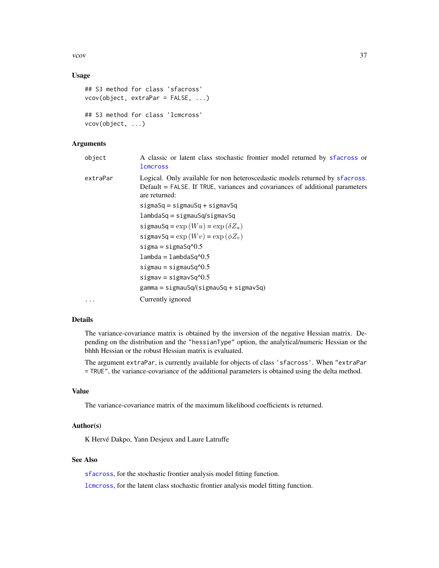<span id="page-36-0"></span>vcov 37

## Usage

```
## S3 method for class 'sfacross'
vcov(object, extraPar = FALSE, ...)
## S3 method for class 'lcmcross'
vcov(object, ...)
```
## Arguments

- object A classic or latent class stochastic frontier model returned by [sfacross](#page-23-1) or **l**cmcross
- extraPar Logical. Only available for non heteroscedastic models returned by [sfacross](#page-23-1). Default = FALSE. If TRUE, variances and covariances of additional parameters are returned:

sigmaSq = sigmauSq + sigmavSq

- lambdaSq = sigmauSq/sigmavSq sigmauSq =  $\exp(Wu)$  =  $\exp(\delta Z_u)$
- sigmavSq =  $\exp(Wv)$  =  $\exp(\phi Z_v)$  $sigma =$ sigmaSq $\textdegree$ 0.5

 $lambda =$   $lambdaSq^0.5$ 

 $sigma =$ sigmauSq $\textdegree$ 0.5  $signav = signavSq^0.5$ gamma = sigmauSq/(sigmauSq + sigmavSq)

... Currently ignored

#### Details

The variance-covariance matrix is obtained by the inversion of the negative Hessian matrix. Depending on the distribution and the "hessianType" option, the analytical/numeric Hessian or the bhhh Hessian or the robust Hessian matrix is evaluated.

The argument extraPar, is currently available for objects of class 'sfacross'. When "extraPar = TRUE", the variance-covariance of the additional parameters is obtained using the delta method.

#### Value

The variance-covariance matrix of the maximum likelihood coefficients is returned.

#### Author(s)

K Hervé Dakpo, Yann Desjeux and Laure Latruffe

## See Also

[sfacross](#page-23-1), for the stochastic frontier analysis model fitting function.

[lcmcross](#page-12-1), for the latent class stochastic frontier analysis model fitting function.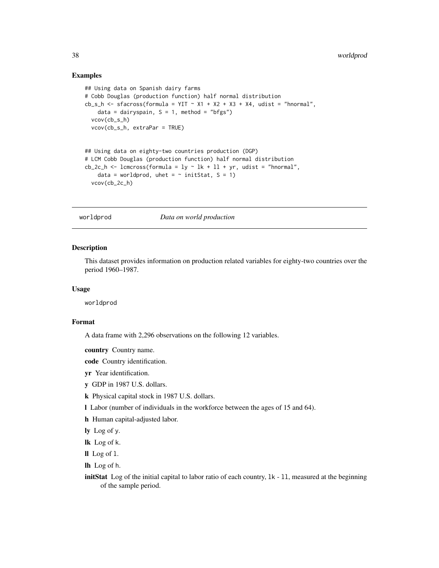### <span id="page-37-0"></span>Examples

```
## Using data on Spanish dairy farms
# Cobb Douglas (production function) half normal distribution
cb_s_h <- sfacross(formula = YIT \sim X1 + X2 + X3 + X4, udist = "hnormal",
   data = dairyspain, S = 1, method = "bfgs")
 vcov(cb_s_h)
 vcov(cb_s_h, extraPar = TRUE)
## Using data on eighty-two countries production (DGP)
# LCM Cobb Douglas (production function) half normal distribution
cb_2c_h <- lcmcross(formula = ly \sim lk + ll + yr, udist = "hnormal",
   data = worldprod, uhet = \sim initStat, S = 1)
 vcov(cb_2c_h)
```
worldprod *Data on world production*

## Description

This dataset provides information on production related variables for eighty-two countries over the period 1960–1987.

#### Usage

worldprod

#### Format

A data frame with 2,296 observations on the following 12 variables.

country Country name.

code Country identification.

yr Year identification.

y GDP in 1987 U.S. dollars.

- k Physical capital stock in 1987 U.S. dollars.
- l Labor (number of individuals in the workforce between the ages of 15 and 64).
- h Human capital-adjusted labor.

ly Log of y.

lk Log of k.

ll Log of l.

lh Log of h.

initStat Log of the initial capital to labor ratio of each country,  $1k - 11$ , measured at the beginning of the sample period.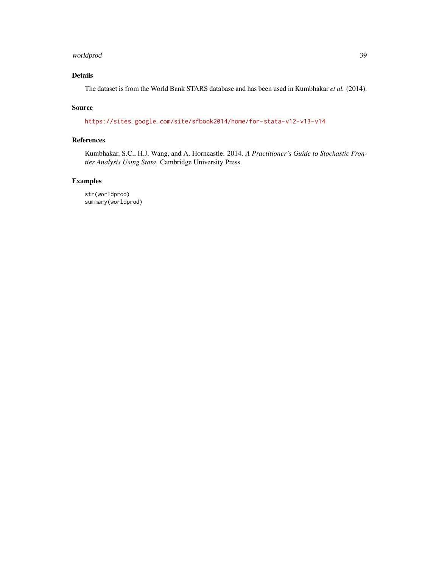## worldprod 39

## Details

The dataset is from the World Bank STARS database and has been used in Kumbhakar *et al.* (2014).

## Source

<https://sites.google.com/site/sfbook2014/home/for-stata-v12-v13-v14>

## References

Kumbhakar, S.C., H.J. Wang, and A. Horncastle. 2014. *A Practitioner's Guide to Stochastic Frontier Analysis Using Stata*. Cambridge University Press.

## Examples

str(worldprod) summary(worldprod)